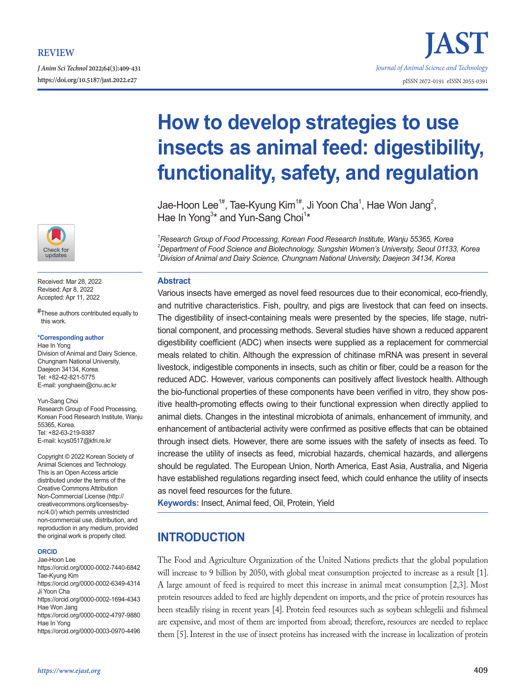*J Anim Sci Technol* **2022;64(3):409-431**



Received: Mar 28, 2022 Revised: Apr 8, 2022 Accepted: Apr 11, 2022

#These authors contributed equally to this work.

#### **\*Corresponding author**

Hae In Yong Division of Animal and Dairy Science, Chungnam National University, Daejeon 34134, Korea. Tel: +82-42-821-5775 E-mail: yonghaein@cnu.ac.kr

Yun-Sang Choi Research Group of Food Processing, Korean Food Research Institute, Wanju 55365, Korea. Tel: +82-63-219-9387 E-mail: kcys0517@kfri.re.kr

Copyright © 2022 Korean Society of Animal Sciences and Technology. This is an Open Access article distributed under the terms of the Creative Commons Attribution Non-Commercial License (http:// creativecommons.org/licenses/bync/4.0/) which permits unrestricted non-commercial use, distribution, and reproduction in any medium, provided the original work is properly cited.

#### **ORCID**

Jae-Hoon Lee

https://orcid.org/0000-0002-7440-6842 Tae-Kyung Kim

https://orcid.org/0000-0002-6349-4314 Ji Yoon Cha

https://orcid.org/0000-0002-1694-4343 Hae Won Jang

https://orcid.org/0000-0002-4797-9880 Hae In Yong

https://orcid.org/0000-0003-0970-4496

# **https://doi.org/10.5187/jast.2022.e27** pISSN 2672-0191 eISSN 2055-0391 **How to develop strategies to use**

*Journal of Animal Science and Technology*

**insects as animal feed: digestibility, functionality, safety, and regulation**

Jae-Hoon Lee $^{1\#}$ , Tae-Kyung Kim $^{1\#}$ , Ji Yoon Cha $^1$ , Hae Won Jang $^2$ , Hae In Yong<sup>3\*</sup> and Yun-Sang Choi<sup>1\*</sup>

*1 Research Group of Food Processing, Korean Food Research Institute, Wanju 55365, Korea 2 Department of Food Science and Biotechnology, Sungshin Women's University, Seoul 01133, Korea 3 Division of Animal and Dairy Science, Chungnam National University, Daejeon 34134, Korea*

## **Abstract**

Various insects have emerged as novel feed resources due to their economical, eco-friendly, and nutritive characteristics. Fish, poultry, and pigs are livestock that can feed on insects. The digestibility of insect-containing meals were presented by the species, life stage, nutritional component, and processing methods. Several studies have shown a reduced apparent digestibility coefficient (ADC) when insects were supplied as a replacement for commercial meals related to chitin. Although the expression of chitinase mRNA was present in several livestock, indigestible components in insects, such as chitin or fiber, could be a reason for the reduced ADC. However, various components can positively affect livestock health. Although the bio-functional properties of these components have been verified in vitro, they show positive health-promoting effects owing to their functional expression when directly applied to animal diets. Changes in the intestinal microbiota of animals, enhancement of immunity, and enhancement of antibacterial activity were confirmed as positive effects that can be obtained through insect diets. However, there are some issues with the safety of insects as feed. To increase the utility of insects as feed, microbial hazards, chemical hazards, and allergens should be regulated. The European Union, North America, East Asia, Australia, and Nigeria have established regulations regarding insect feed, which could enhance the utility of insects as novel feed resources for the future.

**Keywords:** Insect, Animal feed, Oil, Protein, Yield

# **INTRODUCTION**

The Food and Agriculture Organization of the United Nations predicts that the global population will increase to 9 billion by 2050, with global meat consumption projected to increase as a result [1]. A large amount of feed is required to meet this increase in animal meat consumption [2,3]. Most protein resources added to feed are highly dependent on imports, and the price of protein resources has been steadily rising in recent years [4]. Protein feed resources such as soybean schlegelii and fishmeal are expensive, and most of them are imported from abroad; therefore, resources are needed to replace them [5]. Interest in the use of insect proteins has increased with the increase in localization of protein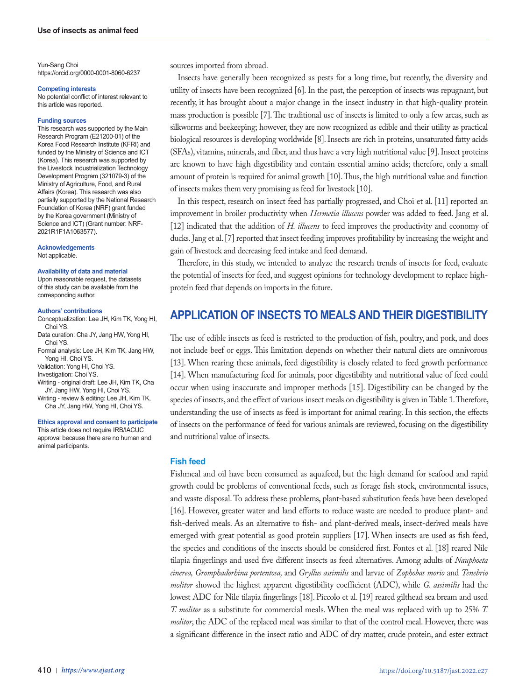Yun-Sang Choi https://orcid.org/0000-0001-8060-6237

**Competing interests**

No potential conflict of interest relevant to this article was reported.

#### **Funding sources**

This research was supported by the Main Research Program (E21200-01) of the Korea Food Research Institute (KFRI) and funded by the Ministry of Science and ICT (Korea). This research was supported by the Livestock Industrialization Technology Development Program (321079-3) of the Ministry of Agriculture, Food, and Rural Affairs (Korea). This research was also partially supported by the National Research Foundation of Korea (NRF) grant funded by the Korea government (Ministry of Science and ICT) (Grant number: NRF-2021R1F1A1063577).

**Acknowledgements** Not applicable.

**Availability of data and material** Upon reasonable request, the datasets of this study can be available from the corresponding author.

#### **Authors' contributions**

- Conceptualization: Lee JH, Kim TK, Yong HI, Choi YS.
- Data curation: Cha JY, Jang HW, Yong HI, Choi YS.

Formal analysis: Lee JH, Kim TK, Jang HW, Yong HI, Choi YS.

Validation: Yong HI, Choi YS.

Investigation: Choi YS.

- Writing original draft: Lee JH, Kim TK, Cha JY, Jang HW, Yong HI, Choi YS.
- Writing review & editing: Lee JH, Kim TK, Cha JY, Jang HW, Yong HI, Choi YS.

#### **Ethics approval and consent to participate**

This article does not require IRB/IACUC approval because there are no human and animal participants.

sources imported from abroad.

Insects have generally been recognized as pests for a long time, but recently, the diversity and utility of insects have been recognized [6]. In the past, the perception of insects was repugnant, but recently, it has brought about a major change in the insect industry in that high-quality protein mass production is possible [7]. The traditional use of insects is limited to only a few areas, such as silkworms and beekeeping; however, they are now recognized as edible and their utility as practical biological resources is developing worldwide [8]. Insects are rich in proteins, unsaturated fatty acids (SFAs), vitamins, minerals, and fiber, and thus have a very high nutritional value [9]. Insect proteins are known to have high digestibility and contain essential amino acids; therefore, only a small amount of protein is required for animal growth [10]. Thus, the high nutritional value and function of insects makes them very promising as feed for livestock [10].

In this respect, research on insect feed has partially progressed, and Choi et al. [11] reported an improvement in broiler productivity when *Hermetia illucens* powder was added to feed. Jang et al. [12] indicated that the addition of *H. illucens* to feed improves the productivity and economy of ducks. Jang et al. [7] reported that insect feeding improves profitability by increasing the weight and gain of livestock and decreasing feed intake and feed demand.

Therefore, in this study, we intended to analyze the research trends of insects for feed, evaluate the potential of insects for feed, and suggest opinions for technology development to replace highprotein feed that depends on imports in the future.

## **APPLICATION OF INSECTS TO MEALS AND THEIR DIGESTIBILITY**

The use of edible insects as feed is restricted to the production of fish, poultry, and pork, and does not include beef or eggs. This limitation depends on whether their natural diets are omnivorous [13]. When rearing these animals, feed digestibility is closely related to feed growth performance [14]. When manufacturing feed for animals, poor digestibility and nutritional value of feed could occur when using inaccurate and improper methods [15]. Digestibility can be changed by the species of insects, and the effect of various insect meals on digestibility is given in Table 1. Therefore, understanding the use of insects as feed is important for animal rearing. In this section, the effects of insects on the performance of feed for various animals are reviewed, focusing on the digestibility and nutritional value of insects.

#### **Fish feed**

Fishmeal and oil have been consumed as aquafeed, but the high demand for seafood and rapid growth could be problems of conventional feeds, such as forage fish stock, environmental issues, and waste disposal. To address these problems, plant-based substitution feeds have been developed [16]. However, greater water and land efforts to reduce waste are needed to produce plant- and fish-derived meals. As an alternative to fish- and plant-derived meals, insect-derived meals have emerged with great potential as good protein suppliers [17]. When insects are used as fish feed, the species and conditions of the insects should be considered first. Fontes et al. [18] reared Nile tilapia fingerlings and used five different insects as feed alternatives. Among adults of *Nauphoeta cinerea, Gromphadorhina portentosa,* and *Gryllus assimilis* and larvae of *Zophobas morio* and *Tenebrio molitor* showed the highest apparent digestibility coefficient (ADC), while *G. assimilis* had the lowest ADC for Nile tilapia fingerlings [18]. Piccolo et al. [19] reared gilthead sea bream and used *T. molitor* as a substitute for commercial meals. When the meal was replaced with up to 25% *T. molitor*, the ADC of the replaced meal was similar to that of the control meal. However, there was a significant difference in the insect ratio and ADC of dry matter, crude protein, and ester extract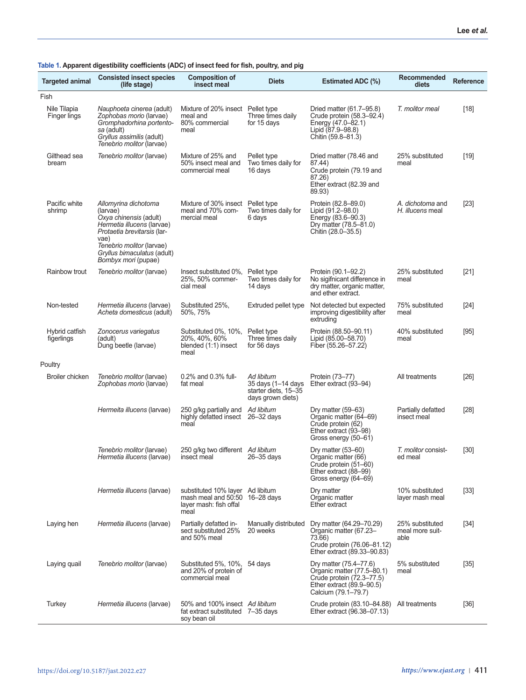| <b>Targeted animal</b>       | <b>Consisted insect species</b><br>(life stage)                                                                                                                     | <b>Composition of</b><br>insect meal                                                      | <b>Diets</b>                                                                  | <b>Estimated ADC (%)</b>                                                                                                              | <b>Recommended</b><br>diets                | <b>Reference</b> |
|------------------------------|---------------------------------------------------------------------------------------------------------------------------------------------------------------------|-------------------------------------------------------------------------------------------|-------------------------------------------------------------------------------|---------------------------------------------------------------------------------------------------------------------------------------|--------------------------------------------|------------------|
| Fish                         |                                                                                                                                                                     |                                                                                           |                                                                               |                                                                                                                                       |                                            |                  |
| Nile Tilapia<br>Finger lings | <i>Nauphoeta cinerea (adult)</i><br>Zophobas morio (larvae)<br>Gromphadorhina portento-<br>sa (adult)<br>Gryllus assimilis (adult)<br>Tenebrio molitor (larvae)     | Mixture of 20% insect Pellet type<br>meal and<br>80% commercial<br>meal                   | Three times daily<br>for 15 days                                              | Dried matter (61.7–95.8)<br>Crude protein (58.3-92.4)<br>Energy (47.0-82.1)<br>Lipid (87.9–98.8)<br>Chitin (59.8–81.3)                | T. molitor meal                            | $[18]$           |
| Gilthead sea<br>bream        | Tenebrio molitor (larvae)                                                                                                                                           | Mixture of 25% and<br>50% insect meal and<br>commercial meal                              | Pellet type<br>Two times daily for<br>16 days                                 | Dried matter (78.46 and<br>87.44)<br>Crude protein (79.19 and<br>87.26)<br>Ether extract (82.39 and<br>89.93)                         | 25% substituted<br>meal                    | $[19]$           |
| Pacific white<br>shrimp      | Allomyrina dichotoma<br>(larvae)<br>Oxya chinensis (adult)<br>Hermetia illucens (larvae)<br><i>Protaetia brevitarsis</i> (lar-<br>vae)<br>Tenebrio molitor (larvae) | Mixture of 30% insect Pellet type<br>meal and 70% com-<br>mercial meal                    | Two times daily for<br>6 days                                                 | Protein (82.8–89.0)<br>Lipid (91.2–98.0)<br>Energy (83.6-90.3)<br>Dry matter (78.5–81.0)<br>Chitin (28.0–35.5)                        | A. dichotoma and<br>H. illucens meal       | $[23]$           |
|                              | Gryllus bimaculatus (adult)<br>Bombyx mori (pupae)                                                                                                                  |                                                                                           |                                                                               |                                                                                                                                       |                                            |                  |
| Rainbow trout                | Tenebrio molitor (larvae)                                                                                                                                           | Insect substituted 0%,<br>25%, 50% commer-<br>cial meal                                   | Pellet type<br>Two times daily for<br>14 days                                 | Protein (90.1-92.2)<br>No sigifnicant difference in<br>dry matter, organic matter,<br>and ether extract.                              | 25% substituted<br>meal                    | $[21]$           |
| Non-tested                   | Hermetia illucens (larvae)<br>Acheta domesticus (adult)                                                                                                             | Substituted 25%,<br>50%, 75%                                                              | Extruded pellet type                                                          | Not detected but expected<br>improving digestibility after<br>extruding                                                               | 75% substituted<br>meal                    | $[24]$           |
| Hybrid catfish<br>figerlings | Zonocerus variegatus<br>(adult)<br>Dung beetle (larvae)                                                                                                             | Substituted 0%, 10%,<br>20%, 40%, 60%<br>blended (1:1) insect<br>meal                     | Pellet type<br>Three times daily<br>for 56 days                               | Protein (88.50–90.11)<br>Lipid (85.00-58.70)<br>Fiber (55.26–57.22)                                                                   | 40% substituted<br>meal                    | [95]             |
| Poultry                      |                                                                                                                                                                     |                                                                                           |                                                                               |                                                                                                                                       |                                            |                  |
| Broiler chicken              | Tenebrio molitor (larvae)<br>Zophobas morio (larvae)                                                                                                                | 0.2% and 0.3% full-<br>fat meal                                                           | Ad libitum<br>35 days (1–14 days<br>starter diets, 15-35<br>days grown diets) | Protein (73–77)<br>Ether extract (93–94)                                                                                              | All treatments                             | [26]             |
|                              | Hermeita illucens (larvae)                                                                                                                                          | 250 g/kg partially and<br>highly defatted insect 26-32 days<br>meal                       | Ad libitum                                                                    | Dry matter $(59-63)$<br>Organic matter (64–69)<br>Crude protein (62)<br>Ether extract (93-98)<br>Gross energy (50–61)                 | Partially defatted<br>insect meal          | $[28]$           |
|                              | Tenebrio molitor (larvae)<br>Hermetia illucens (larvae)                                                                                                             | 250 g/kg two different Ad libitum<br>insect meal                                          | $26 - 35$ days                                                                | Dry matter $(53–60)$<br>Organic matter (66)<br>Crude protein (51-60)<br>Ether extract (88-99)<br>Gross energy (64-69)                 | T. molitor consist-<br>ed meal             | $[30]$           |
|                              | Hermetia illucens (larvae)                                                                                                                                          | substituted 10% layer Ad libitum<br>mash meal and 50:50<br>layer mash: fish offal<br>meal | 16–28 days                                                                    | Dry matter<br>Organic matter<br>Ether extract                                                                                         | 10% substituted<br>layer mash meal         | $[33]$           |
| Laying hen                   | Hermetia illucens (larvae)                                                                                                                                          | Partially defatted in-<br>sect substituted 25%<br>and 50% meal                            | Manually distributed<br>20 weeks                                              | Dry matter (64.29–70.29)<br>Organic matter (67.23-<br>73.66)<br>Crude protein (76.06-81.12)<br>Ether extract (89.33-90.83)            | 25% substituted<br>meal more suit-<br>able | $[34]$           |
| Laying quail                 | Tenebrio molitor (larvae)                                                                                                                                           | Substituted 5%, 10%,<br>and 20% of protein of<br>commercial meal                          | 54 days                                                                       | Dry matter (75.4-77.6)<br>Organic matter (77.5-80.1)<br>Crude protein (72.3-77.5)<br>Ether extract (89.9-90.5)<br>Calcium (79.1-79.7) | 5% substituted<br>meal                     | $[35]$           |
| Turkey                       | Hermetia illucens (larvae)                                                                                                                                          | 50% and 100% insect Ad libitum<br>fat extract substituted 7-35 days<br>soy bean oil       |                                                                               | Crude protein (83.10-84.88)<br>Ether extract (96.38-07.13)                                                                            | All treatments                             | $[36]$           |

#### **Table 1. Apparent digestibility coefficients (ADC) of insect feed for fish, poultry, and pig**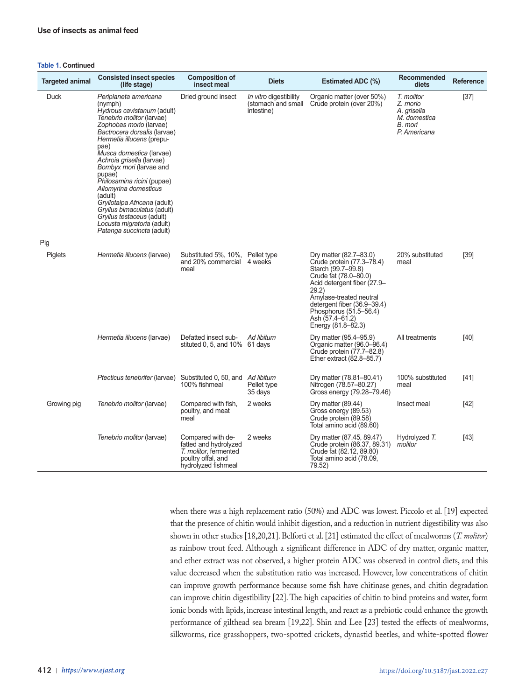#### **Table 1. Continued**

| <b>Targeted animal</b> | <b>Consisted insect species</b><br>(life stage)                                                                                                                                                                                                                                                                                                                                                                                                                                                                    | <b>Composition of</b><br>insect meal                                                                             | <b>Diets</b>                                               | <b>Estimated ADC (%)</b>                                                                                                                                                                                                                                                | Recommended<br>diets                                                             | <b>Reference</b> |
|------------------------|--------------------------------------------------------------------------------------------------------------------------------------------------------------------------------------------------------------------------------------------------------------------------------------------------------------------------------------------------------------------------------------------------------------------------------------------------------------------------------------------------------------------|------------------------------------------------------------------------------------------------------------------|------------------------------------------------------------|-------------------------------------------------------------------------------------------------------------------------------------------------------------------------------------------------------------------------------------------------------------------------|----------------------------------------------------------------------------------|------------------|
| <b>Duck</b>            | Periplaneta americana<br>(nymph)<br>Hydrous cavistanum (adult)<br>Tenebrio molitor (larvae)<br>Zophobas morio (larvae)<br>Bactrocera dorsalis (larvae)<br>Hermetia illucens (prepu-<br>pae)<br>Musca domestica (larvae)<br>Achroia grisella (larvae)<br>Bombyx mori (larvae and<br>pupae)<br>Philosamina ricini (pupae)<br>Allomyrina domesticus<br>(adult)<br>Gryllotalpa Africana (adult)<br>Gryllus bimaculatus (adult)<br>Gryllus testaceus (adult)<br>Locusta migratoria (adult)<br>Patanga succincta (adult) | Dried ground insect                                                                                              | In vitro digestibility<br>(stomach and small<br>intestine) | Organic matter (over 50%)<br>Crude protein (over 20%)                                                                                                                                                                                                                   | T. molitor<br>Z. morio<br>A. grisella<br>M. domestica<br>B. mori<br>P. Americana | $[37]$           |
| Pig                    |                                                                                                                                                                                                                                                                                                                                                                                                                                                                                                                    |                                                                                                                  |                                                            |                                                                                                                                                                                                                                                                         |                                                                                  |                  |
| Piglets                | Hermetia illucens (larvae)                                                                                                                                                                                                                                                                                                                                                                                                                                                                                         | Substituted 5%, 10%, Pellet type<br>and 20% commercial<br>meal                                                   | 4 weeks                                                    | Dry matter (82.7–83.0)<br>Crude protein (77.3-78.4)<br>Starch (99.7–99.8)<br>Crude fat (78.0–80.0)<br>Acid detergent fiber (27.9-<br>29.2)<br>Amylase-treated neutral<br>detergent fiber (36.9–39.4)<br>Phosphorus (51.5–56.4)<br>Ash (57.4–61.2)<br>Energy (81.8–82.3) | 20% substituted<br>meal                                                          | $[39]$           |
|                        | Hermetia illucens (larvae)                                                                                                                                                                                                                                                                                                                                                                                                                                                                                         | Defatted insect sub-<br>stituted 0, 5, and $10\%$ 61 days                                                        | Ad libitum                                                 | Dry matter (95.4–95.9)<br>Organic matter (96.0-96.4)<br>Crude protein (77.7–82.8)<br>Ether extract (82.8–85.7)                                                                                                                                                          | All treatments                                                                   | $[40]$           |
|                        | <i>Ptecticus tenebrifer</i> (larvae)                                                                                                                                                                                                                                                                                                                                                                                                                                                                               | Substituted 0, 50, and<br>100% fishmeal                                                                          | Ad libitum<br>Pellet type<br>35 days                       | Dry matter (78.81–80.41)<br>Nitrogen (78.57–80.27)<br>Gross energy (79.28–79.46)                                                                                                                                                                                        | 100% substituted<br>meal                                                         | [41]             |
| Growing pig            | Tenebrio molitor (larvae)                                                                                                                                                                                                                                                                                                                                                                                                                                                                                          | Compared with fish,<br>poultry, and meat<br>meal                                                                 | 2 weeks                                                    | Dry matter $(89.44)$<br>Gross energy (89.53)<br>Crude protein (89.58)<br>Total amino acid (89.60)                                                                                                                                                                       | Insect meal                                                                      | $[42]$           |
|                        | Tenebrio molitor (larvae)                                                                                                                                                                                                                                                                                                                                                                                                                                                                                          | Compared with de-<br>fatted and hydrolyzed<br>T. molitor, fermented<br>poultry offal, and<br>hydrolyzed fishmeal | 2 weeks                                                    | Dry matter (87.45, 89.47)<br>Crude protein (86.37, 89.31)<br>Crude fat (82.12, 89.80)<br>Total amino acid (78.09,<br>79.52)                                                                                                                                             | Hydrolyzed T.<br>molitor                                                         | [43]             |

when there was a high replacement ratio (50%) and ADC was lowest. Piccolo et al. [19] expected that the presence of chitin would inhibit digestion, and a reduction in nutrient digestibility was also shown in other studies [18,20,21]. Belforti et al. [21] estimated the effect of mealworms (*T. molitor*) as rainbow trout feed. Although a significant difference in ADC of dry matter, organic matter, and ether extract was not observed, a higher protein ADC was observed in control diets, and this value decreased when the substitution ratio was increased. However, low concentrations of chitin can improve growth performance because some fish have chitinase genes, and chitin degradation can improve chitin digestibility [22]. The high capacities of chitin to bind proteins and water, form ionic bonds with lipids, increase intestinal length, and react as a prebiotic could enhance the growth performance of gilthead sea bream [19,22]. Shin and Lee [23] tested the effects of mealworms, silkworms, rice grasshoppers, two-spotted crickets, dynastid beetles, and white-spotted flower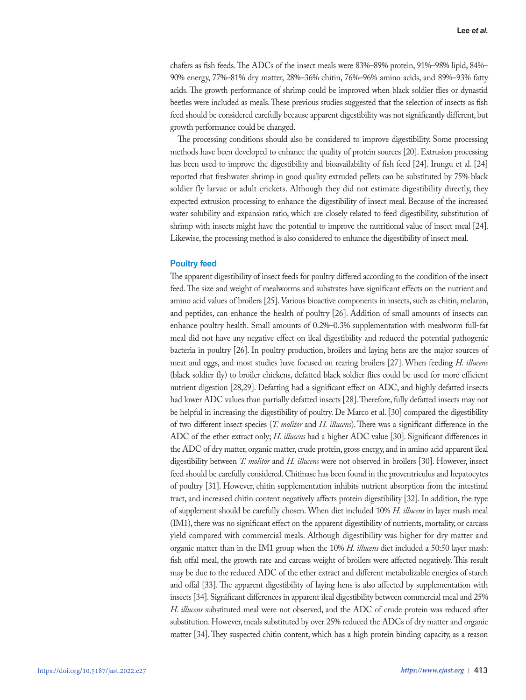chafers as fish feeds. The ADCs of the insect meals were 83%–89% protein, 91%–98% lipid, 84%– 90% energy, 77%–81% dry matter, 28%–36% chitin, 76%–96% amino acids, and 89%–93% fatty acids. The growth performance of shrimp could be improved when black soldier flies or dynastid beetles were included as meals. These previous studies suggested that the selection of insects as fish feed should be considered carefully because apparent digestibility was not significantly different, but growth performance could be changed.

The processing conditions should also be considered to improve digestibility. Some processing methods have been developed to enhance the quality of protein sources [20]. Extrusion processing has been used to improve the digestibility and bioavailability of fish feed [24]. Irungu et al. [24] reported that freshwater shrimp in good quality extruded pellets can be substituted by 75% black soldier fly larvae or adult crickets. Although they did not estimate digestibility directly, they expected extrusion processing to enhance the digestibility of insect meal. Because of the increased water solubility and expansion ratio, which are closely related to feed digestibility, substitution of shrimp with insects might have the potential to improve the nutritional value of insect meal [24]. Likewise, the processing method is also considered to enhance the digestibility of insect meal.

#### **Poultry feed**

The apparent digestibility of insect feeds for poultry differed according to the condition of the insect feed. The size and weight of mealworms and substrates have significant effects on the nutrient and amino acid values of broilers [25]. Various bioactive components in insects, such as chitin, melanin, and peptides, can enhance the health of poultry [26]. Addition of small amounts of insects can enhance poultry health. Small amounts of 0.2%–0.3% supplementation with mealworm full-fat meal did not have any negative effect on ileal digestibility and reduced the potential pathogenic bacteria in poultry [26]. In poultry production, broilers and laying hens are the major sources of meat and eggs, and most studies have focused on rearing broilers [27]. When feeding *H. illucens* (black soldier fly) to broiler chickens, defatted black soldier flies could be used for more efficient nutrient digestion [28,29]. Defatting had a significant effect on ADC, and highly defatted insects had lower ADC values than partially defatted insects [28]. Therefore, fully defatted insects may not be helpful in increasing the digestibility of poultry. De Marco et al. [30] compared the digestibility of two different insect species (*T. molitor* and *H. illucens*). There was a significant difference in the ADC of the ether extract only; *H. illucens* had a higher ADC value [30]. Significant differences in the ADC of dry matter, organic matter, crude protein, gross energy, and in amino acid apparent ileal digestibility between *T. molitor* and *H. illucens* were not observed in broilers [30]. However, insect feed should be carefully considered. Chitinase has been found in the proventriculus and hepatocytes of poultry [31]. However, chitin supplementation inhibits nutrient absorption from the intestinal tract, and increased chitin content negatively affects protein digestibility [32]. In addition, the type of supplement should be carefully chosen. When diet included 10% *H. illucens* in layer mash meal (IM1), there was no significant effect on the apparent digestibility of nutrients, mortality, or carcass yield compared with commercial meals. Although digestibility was higher for dry matter and organic matter than in the IM1 group when the 10% *H. illucens* diet included a 50:50 layer mash: fish offal meal, the growth rate and carcass weight of broilers were affected negatively. This result may be due to the reduced ADC of the ether extract and different metabolizable energies of starch and offal [33]. The apparent digestibility of laying hens is also affected by supplementation with insects [34]. Significant differences in apparent ileal digestibility between commercial meal and 25% *H. illucens* substituted meal were not observed, and the ADC of crude protein was reduced after substitution. However, meals substituted by over 25% reduced the ADCs of dry matter and organic matter [34]. They suspected chitin content, which has a high protein binding capacity, as a reason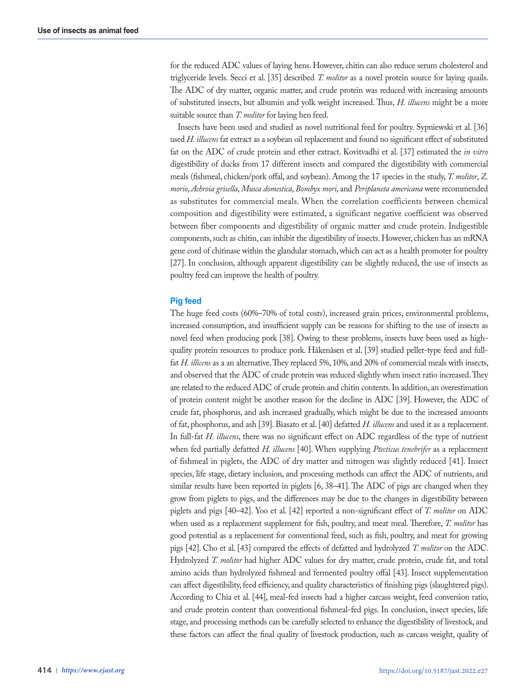for the reduced ADC values of laying hens. However, chitin can also reduce serum cholesterol and triglyceride levels. Secci et al. [35] described *T. molitor* as a novel protein source for laying quails. The ADC of dry matter, organic matter, and crude protein was reduced with increasing amounts of substituted insects, but albumin and yolk weight increased. Thus, *H. illucens* might be a more suitable source than *T. molitor* for laying hen feed.

Insects have been used and studied as novel nutritional feed for poultry. Sypniewski et al. [36] used *H. illucens* fat extract as a soybean oil replacement and found no significant effect of substituted fat on the ADC of crude protein and ether extract. Kovitvadhi et al. [37] estimated the *in vitro*  digestibility of ducks from 17 different insects and compared the digestibility with commercial meals (fishmeal, chicken/pork offal, and soybean). Among the 17 species in the study, *T. molitor*, *Z. morio*, *Achroia grisella*, *Musca domestica*, *Bombyx mori*, and *Periplaneta americana* were recommended as substitutes for commercial meals. When the correlation coefficients between chemical composition and digestibility were estimated, a significant negative coefficient was observed between fiber components and digestibility of organic matter and crude protein. Indigestible components, such as chitin, can inhibit the digestibility of insects. However, chicken has an mRNA gene cord of chitinase within the glandular stomach, which can act as a health promoter for poultry [27]. In conclusion, although apparent digestibility can be slightly reduced, the use of insects as poultry feed can improve the health of poultry.

#### **Pig feed**

The huge feed costs (60%–70% of total costs), increased grain prices, environmental problems, increased consumption, and insufficient supply can be reasons for shifting to the use of insects as novel feed when producing pork [38]. Owing to these problems, insects have been used as highquality protein resources to produce pork. Håkenåsen et al. [39] studied pellet-type feed and fullfat *H. illicens* as a an alternative. They replaced 5%, 10%, and 20% of commercial meals with insects, and observed that the ADC of crude protein was reduced slightly when insect ratio increased. They are related to the reduced ADC of crude protein and chitin contents. In addition, an overestimation of protein content might be another reason for the decline in ADC [39]. However, the ADC of crude fat, phosphorus, and ash increased gradually, which might be due to the increased amounts of fat, phosphorus, and ash [39]. Biasato et al. [40] defatted *H. illucens* and used it as a replacement. In full-fat *H. illucens*, there was no significant effect on ADC regardless of the type of nutrient when fed partially defatted *H. illucens* [40]. When supplying *Ptecticus tenebrifer* as a replacement of fishmeal in piglets, the ADC of dry matter and nitrogen was slightly reduced [41]. Insect species, life stage, dietary inclusion, and processing methods can affect the ADC of nutrients, and similar results have been reported in piglets [6, 38–41]. The ADC of pigs are changed when they grow from piglets to pigs, and the differences may be due to the changes in digestibility between piglets and pigs [40–42]. Yoo et al. [42] reported a non-significant effect of *T. molitor* on ADC when used as a replacement supplement for fish, poultry, and meat meal. Therefore, *T. molitor* has good potential as a replacement for conventional feed, such as fish, poultry, and meat for growing pigs [42]. Cho et al. [43] compared the effects of defatted and hydrolyzed *T. molitor* on the ADC. Hydrolyzed *T. molitor* had higher ADC values for dry matter, crude protein, crude fat, and total amino acids than hydrolyzed fishmeal and fermented poultry offal [43]. Insect supplementation can affect digestibility, feed efficiency, and quality characteristics of finishing pigs (slaughtered pigs). According to Chia et al. [44], meal-fed insects had a higher carcass weight, feed conversion ratio, and crude protein content than conventional fishmeal-fed pigs. In conclusion, insect species, life stage, and processing methods can be carefully selected to enhance the digestibility of livestock, and these factors can affect the final quality of livestock production, such as carcass weight, quality of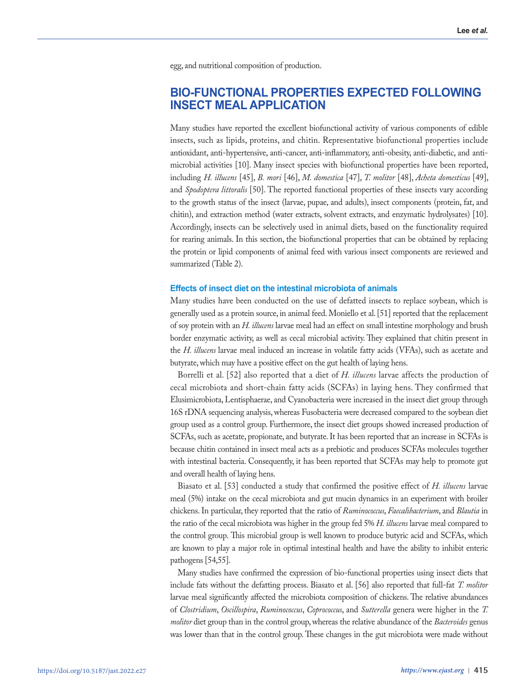egg, and nutritional composition of production.

# **BIO-FUNCTIONAL PROPERTIES EXPECTED FOLLOWING INSECT MEAL APPLICATION**

Many studies have reported the excellent biofunctional activity of various components of edible insects, such as lipids, proteins, and chitin. Representative biofunctional properties include antioxidant, anti-hypertensive, anti-cancer, anti-inflammatory, anti-obesity, anti-diabetic, and antimicrobial activities [10]. Many insect species with biofunctional properties have been reported, including *H. illucens* [45], *B. mori* [46], *M. domestica* [47], *T. molitor* [48], *Acheta domesticus* [49], and *Spodoptera littoralis* [50]. The reported functional properties of these insects vary according to the growth status of the insect (larvae, pupae, and adults), insect components (protein, fat, and chitin), and extraction method (water extracts, solvent extracts, and enzymatic hydrolysates) [10]. Accordingly, insects can be selectively used in animal diets, based on the functionality required for rearing animals. In this section, the biofunctional properties that can be obtained by replacing the protein or lipid components of animal feed with various insect components are reviewed and summarized (Table 2).

#### **Effects of insect diet on the intestinal microbiota of animals**

Many studies have been conducted on the use of defatted insects to replace soybean, which is generally used as a protein source, in animal feed. Moniello et al. [51] reported that the replacement of soy protein with an *H. illucens* larvae meal had an effect on small intestine morphology and brush border enzymatic activity, as well as cecal microbial activity. They explained that chitin present in the *H. illucens* larvae meal induced an increase in volatile fatty acids (VFAs), such as acetate and butyrate, which may have a positive effect on the gut health of laying hens.

Borrelli et al. [52] also reported that a diet of *H. illucens* larvae affects the production of cecal microbiota and short-chain fatty acids (SCFAs) in laying hens. They confirmed that Elusimicrobiota, Lentisphaerae, and Cyanobacteria were increased in the insect diet group through 16S rDNA sequencing analysis, whereas Fusobacteria were decreased compared to the soybean diet group used as a control group. Furthermore, the insect diet groups showed increased production of SCFAs, such as acetate, propionate, and butyrate. It has been reported that an increase in SCFAs is because chitin contained in insect meal acts as a prebiotic and produces SCFAs molecules together with intestinal bacteria. Consequently, it has been reported that SCFAs may help to promote gut and overall health of laying hens.

Biasato et al. [53] conducted a study that confirmed the positive effect of *H. illucens* larvae meal (5%) intake on the cecal microbiota and gut mucin dynamics in an experiment with broiler chickens. In particular, they reported that the ratio of *Ruminococcus*, *Faecalibacterium*, and *Blautia* in the ratio of the cecal microbiota was higher in the group fed 5% *H. illucens* larvae meal compared to the control group. This microbial group is well known to produce butyric acid and SCFAs, which are known to play a major role in optimal intestinal health and have the ability to inhibit enteric pathogens [54,55].

Many studies have confirmed the expression of bio-functional properties using insect diets that include fats without the defatting process. Biasato et al. [56] also reported that full-fat *T. molitor*  larvae meal significantly affected the microbiota composition of chickens. The relative abundances of *Clostridium*, *Oscillospira*, *Ruminococcus*, *Coprococcus*, and *Sutterella* genera were higher in the *T. molitor* diet group than in the control group, whereas the relative abundance of the *Bacteroides* genus was lower than that in the control group. These changes in the gut microbiota were made without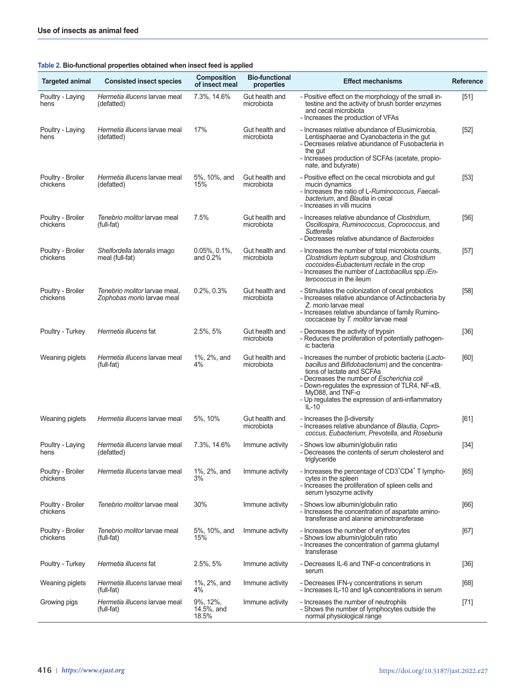| Table 2. Bio-functional properties obtained when insect feed is applied |  |
|-------------------------------------------------------------------------|--|
|-------------------------------------------------------------------------|--|

| <b>Targeted animal</b>        | <b>Consisted insect species</b>                             | Composition<br>of insect meal    | <b>Bio-functional</b><br>properties | <b>Effect mechanisms</b>                                                                                                                                                                                                                                                                                                        | <b>Reference</b> |
|-------------------------------|-------------------------------------------------------------|----------------------------------|-------------------------------------|---------------------------------------------------------------------------------------------------------------------------------------------------------------------------------------------------------------------------------------------------------------------------------------------------------------------------------|------------------|
| Poultry - Laying<br>hens      | Hermetia illucens larvae meal<br>(defatted)                 | 7.3%, 14.6%                      | Gut health and<br>microbiota        | - Positive effect on the morphology of the small in-<br>testine and the activity of brush border enzymes<br>and cecal microbiota<br>- Increases the production of VFAs                                                                                                                                                          | [51]             |
| Poultry - Laying<br>hens      | Hermetia illucens larvae meal<br>(defatted)                 | 17%                              | Gut health and<br>microbiota        | - Increases relative abundance of Elusimicrobia,<br>Lentisphaerae and Cyanobacteria in the gut<br>- Decreases relative abundance of Fusobacteria in<br>the gut<br>- Increases production of SCFAs (acetate, propio-<br>nate, and butyrate)                                                                                      | $[52]$           |
| Poultry - Broiler<br>chickens | Hermetia illucens larvae meal<br>(defatted)                 | 5%, 10%, and<br>15%              | Gut health and<br>microbiota        | - Positive effect on the cecal microbiota and gut<br>mucin dynamics<br>- Increases the ratio of L-Ruminococcus, Faecali-<br>bacterium, and Blautia in cecal<br>- Increases in villi mucins                                                                                                                                      | $[53]$           |
| Poultry - Broiler<br>chickens | Tenebrio molitor larvae meal<br>(full-fat)                  | 7.5%                             | Gut health and<br>microbiota        | - Increases relative abundance of Clostridium,<br>Oscillospira, Ruminococcus, Coprococcus, and<br>Sutterella<br>- Decreases relative abundance of Bacteroides                                                                                                                                                                   | [56]             |
| Poultry - Broiler<br>chickens | Shelfordella lateralis imago<br>meal (full-fat)             | $0.05\%$ , $0.1\%$ ,<br>and 0.2% | Gut health and<br>microbiota        | - Increases the number of total microbiota counts,<br>Clostridium leptum subgroup, and Clostridium<br>coccoides-Eubacterium rectale in the crop<br>- Increases the number of Lactobacillus spp./En-<br><i>terococcus</i> in the ileum                                                                                           | $[57]$           |
| Poultry - Broiler<br>chickens | Tenebrio molitor larvae meal,<br>Zophobas morio larvae meal | 0.2%, 0.3%                       | Gut health and<br>microbiota        | - Stimulates the colonization of cecal probiotics<br>- Increases relative abundance of Actinobacteria by<br>Z. morio larvae meal<br>- Increases relative abundance of family Rumino-<br>coccaceae by T. molitor larvae meal                                                                                                     | $[58]$           |
| Poultry - Turkey              | Hermetia illucens fat                                       | 2.5%, 5%                         | Gut health and<br>microbiota        | - Decreases the activity of trypsin<br>- Reduces the proliferation of potentially pathogen-<br>ic bacteria                                                                                                                                                                                                                      | $[36]$           |
| Weaning piglets               | Hermetia illucens larvae meal<br>(full-fat)                 | 1%, 2%, and<br>4%                | Gut health and<br>microbiota        | - Increases the number of probiotic bacteria (Lacto-<br>bacillus and Bifidobacterium) and the concentra-<br>tions of lactate and SCFAs<br>- Decreases the number of Escherichia coli<br>- Down-regulates the expression of TLR4, NF-KB,<br>MyD88, and TNF- $α$<br>- Up regulates the expression of anti-inflammatory<br>$IL-10$ | [60]             |
| Weaning piglets               | Hermetia illucens larvae meal                               | 5%, 10%                          | Gut health and<br>microbiota        | - Increases the $\beta$ -diversity<br>- Increases relative abundance of Blautia, Copro-<br>coccus, Eubacterium, Prevotella, and Roseburia                                                                                                                                                                                       | [61]             |
| Poultry - Laying<br>hens      | Hermetia illucens larvae meal<br>(defatted)                 | 7.3%, 14.6%                      | Immune activity                     | - Shows low albumin/globulin ratio<br>- Decreases the contents of serum cholesterol and<br>triglyceride                                                                                                                                                                                                                         | $[34]$           |
| Poultry - Broiler<br>chickens | Hermetia illucens larvae meal                               | 1%, 2%, and<br>3%                | Immune activity                     | - Increases the percentage of CD3 <sup>+</sup> CD4 <sup>+</sup> T lympho-<br>cytes in the spleen<br>- Increases the proliferation of spleen cells and<br>serum lysozyme activity                                                                                                                                                | [65]             |
| Poultry - Broiler<br>chickens | Tenebrio molitor larvae meal                                | 30%                              | Immune activity                     | - Shows low albumin/globulin ratio<br>- Increases the concentration of aspartate amino-<br>transferase and alanine aminotransferase                                                                                                                                                                                             | [66]             |
| Poultry - Broiler<br>chickens | Tenebrio molitor larvae meal<br>(full-fat)                  | 5%, 10%, and<br>15%              | Immune activity                     | - Increases the number of erythrocytes<br>- Shows low albumin/globulin ratio<br>- Increases the concentration of gamma glutamyl<br>transferase                                                                                                                                                                                  | [67]             |
| Poultry - Turkey              | Hermetia illucens fat                                       | 2.5%, 5%                         | Immune activity                     | - Decreases IL-6 and TNF-α concentrations in<br>serum                                                                                                                                                                                                                                                                           | $[36]$           |
| Weaning piglets               | Hermetia illucens larvae meal<br>(full-fat)                 | 1%, 2%, and<br>4%                | Immune activity                     | - Decreases IFN-y concentrations in serum<br>- Increases IL-10 and IgA concentrations in serum                                                                                                                                                                                                                                  | [68]             |
| Growing pigs                  | Hermetia illucens larvae meal<br>(full-fat)                 | 9%, 12%,<br>14.5%, and<br>18.5%  | Immune activity                     | - Increases the number of neutrophils<br>- Shows the number of lymphocytes outside the<br>normal physiological range                                                                                                                                                                                                            | $[71]$           |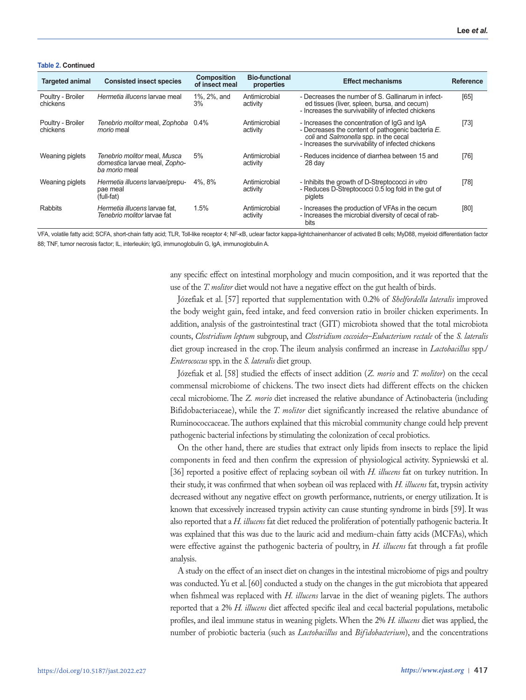#### **Table 2. Continued**

| <b>Targeted animal</b>        | <b>Consisted insect species</b>                                                       | <b>Composition</b><br>of insect meal | <b>Bio-functional</b><br>properties | <b>Effect mechanisms</b>                                                                                                                                                                         | <b>Reference</b> |
|-------------------------------|---------------------------------------------------------------------------------------|--------------------------------------|-------------------------------------|--------------------------------------------------------------------------------------------------------------------------------------------------------------------------------------------------|------------------|
| Poultry - Broiler<br>chickens | Hermetia illucens larvae meal                                                         | 1%, 2%, and<br>3%                    | Antimicrobial<br>activity           | - Decreases the number of S. Gallinarum in infect-<br>ed tissues (liver, spleen, bursa, and cecum)<br>- Increases the survivability of infected chickens                                         | [65]             |
| Poultry - Broiler<br>chickens | Tenebrio molitor meal, Zophoba 0.4%<br><i>morio</i> meal                              |                                      | Antimicrobial<br>activity           | - Increases the concentration of IgG and IgA<br>- Decreases the content of pathogenic bacteria E.<br>coli and Salmonella spp. in the cecal<br>- Increases the survivability of infected chickens | $[73]$           |
| Weaning piglets               | Tenebrio molitor meal, Musca<br>domestica larvae meal, Zopho-<br><i>ba morio</i> meal | 5%                                   | Antimicrobial<br>activity           | - Reduces incidence of diarrhea between 15 and<br>28 day                                                                                                                                         | [76]             |
| Weaning piglets               | Hermetia illucens larvae/prepu-<br>pae meal<br>(full-fat)                             | 4%.8%                                | Antimicrobial<br>activity           | - Inhibits the growth of D-Streptococci in vitro<br>- Reduces D-Streptococci 0.5 log fold in the gut of<br>piglets                                                                               | $[78]$           |
| Rabbits                       | Hermetia illucens larvae fat.<br>Tenebrio molitor larvae fat                          | 1.5%                                 | Antimicrobial<br>activity           | - Increases the production of VFAs in the cecum<br>- Increases the microbial diversity of cecal of rab-<br>bits                                                                                  | [80]             |

VFA, volatile fatty acid; SCFA, short-chain fatty acid; TLR, Toll-like receptor 4; NF-κB, uclear factor kappa-lightchainenhancer of activated B cells; MyD88, myeloid differentiation factor 88; TNF, tumor necrosis factor; IL, interleukin; lgG, immunoglobulin G, lgA, immunoglobulin A.

> any specific effect on intestinal morphology and mucin composition, and it was reported that the use of the *T. molitor* diet would not have a negative effect on the gut health of birds.

> Józefiak et al. [57] reported that supplementation with 0.2% of *Shelfordella lateralis* improved the body weight gain, feed intake, and feed conversion ratio in broiler chicken experiments. In addition, analysis of the gastrointestinal tract (GIT) microbiota showed that the total microbiota counts, *Clostridium leptum* subgroup, and *Clostridium coccoides*–*Eubacterium rectale* of the *S. lateralis*  diet group increased in the crop. The ileum analysis confirmed an increase in *Lactobacillus* spp./ *Enterococcus* spp. in the *S. lateralis* diet group.

> Józefiak et al. [58] studied the effects of insect addition (*Z. morio* and *T. molitor*) on the cecal commensal microbiome of chickens. The two insect diets had different effects on the chicken cecal microbiome. The *Z. morio* diet increased the relative abundance of Actinobacteria (including Bifidobacteriaceae), while the *T. molitor* diet significantly increased the relative abundance of Ruminococcaceae. The authors explained that this microbial community change could help prevent pathogenic bacterial infections by stimulating the colonization of cecal probiotics.

> On the other hand, there are studies that extract only lipids from insects to replace the lipid components in feed and then confirm the expression of physiological activity. Sypniewski et al. [36] reported a positive effect of replacing soybean oil with *H. illucens* fat on turkey nutrition. In their study, it was confirmed that when soybean oil was replaced with *H. illucens* fat, trypsin activity decreased without any negative effect on growth performance, nutrients, or energy utilization. It is known that excessively increased trypsin activity can cause stunting syndrome in birds [59]. It was also reported that a *H. illucens* fat diet reduced the proliferation of potentially pathogenic bacteria. It was explained that this was due to the lauric acid and medium-chain fatty acids (MCFAs), which were effective against the pathogenic bacteria of poultry, in *H. illucens* fat through a fat profile analysis.

> A study on the effect of an insect diet on changes in the intestinal microbiome of pigs and poultry was conducted. Yu et al. [60] conducted a study on the changes in the gut microbiota that appeared when fishmeal was replaced with *H. illucens* larvae in the diet of weaning piglets. The authors reported that a 2% *H. illucens* diet affected specific ileal and cecal bacterial populations, metabolic profiles, and ileal immune status in weaning piglets. When the 2% *H. illucens* diet was applied, the number of probiotic bacteria (such as *Lactobacillus* and *Bifidobacterium*), and the concentrations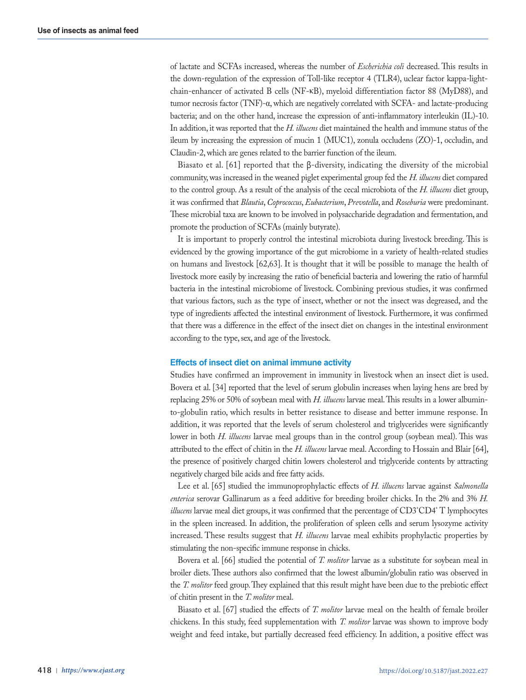of lactate and SCFAs increased, whereas the number of *Escherichia coli* decreased. This results in the down-regulation of the expression of Toll-like receptor 4 (TLR4), uclear factor kappa-lightchain-enhancer of activated B cells (NF-κB), myeloid differentiation factor 88 (MyD88), and tumor necrosis factor (TNF)-α, which are negatively correlated with SCFA- and lactate-producing bacteria; and on the other hand, increase the expression of anti-inflammatory interleukin (IL)-10. In addition, it was reported that the *H. illucens* diet maintained the health and immune status of the ileum by increasing the expression of mucin 1 (MUC1), zonula occludens (ZO)-1, occludin, and Claudin-2, which are genes related to the barrier function of the ileum.

Biasato et al. [61] reported that the β-diversity, indicating the diversity of the microbial community, was increased in the weaned piglet experimental group fed the *H. illucens* diet compared to the control group. As a result of the analysis of the cecal microbiota of the *H. illucens* diet group, it was confirmed that *Blautia*, *Coprococcus*, *Eubacterium*, *Prevotella*, and *Roseburia* were predominant. These microbial taxa are known to be involved in polysaccharide degradation and fermentation, and promote the production of SCFAs (mainly butyrate).

It is important to properly control the intestinal microbiota during livestock breeding. This is evidenced by the growing importance of the gut microbiome in a variety of health-related studies on humans and livestock [62,63]. It is thought that it will be possible to manage the health of livestock more easily by increasing the ratio of beneficial bacteria and lowering the ratio of harmful bacteria in the intestinal microbiome of livestock. Combining previous studies, it was confirmed that various factors, such as the type of insect, whether or not the insect was degreased, and the type of ingredients affected the intestinal environment of livestock. Furthermore, it was confirmed that there was a difference in the effect of the insect diet on changes in the intestinal environment according to the type, sex, and age of the livestock.

#### **Effects of insect diet on animal immune activity**

Studies have confirmed an improvement in immunity in livestock when an insect diet is used. Bovera et al. [34] reported that the level of serum globulin increases when laying hens are bred by replacing 25% or 50% of soybean meal with *H. illucens* larvae meal. This results in a lower albuminto-globulin ratio, which results in better resistance to disease and better immune response. In addition, it was reported that the levels of serum cholesterol and triglycerides were significantly lower in both *H. illucens* larvae meal groups than in the control group (soybean meal). This was attributed to the effect of chitin in the *H. illucens* larvae meal. According to Hossain and Blair [64], the presence of positively charged chitin lowers cholesterol and triglyceride contents by attracting negatively charged bile acids and free fatty acids.

Lee et al. [65] studied the immunoprophylactic effects of *H. illucens* larvae against *Salmonella enterica* serovar Gallinarum as a feed additive for breeding broiler chicks. In the 2% and 3% *H.*  illucens larvae meal diet groups, it was confirmed that the percentage of CD3<sup>+</sup>CD4<sup>+</sup> T lymphocytes in the spleen increased. In addition, the proliferation of spleen cells and serum lysozyme activity increased. These results suggest that *H. illucens* larvae meal exhibits prophylactic properties by stimulating the non-specific immune response in chicks.

Bovera et al. [66] studied the potential of *T. molitor* larvae as a substitute for soybean meal in broiler diets. These authors also confirmed that the lowest albumin/globulin ratio was observed in the *T. molitor* feed group. They explained that this result might have been due to the prebiotic effect of chitin present in the *T. molitor* meal.

Biasato et al. [67] studied the effects of *T. molitor* larvae meal on the health of female broiler chickens. In this study, feed supplementation with *T. molitor* larvae was shown to improve body weight and feed intake, but partially decreased feed efficiency. In addition, a positive effect was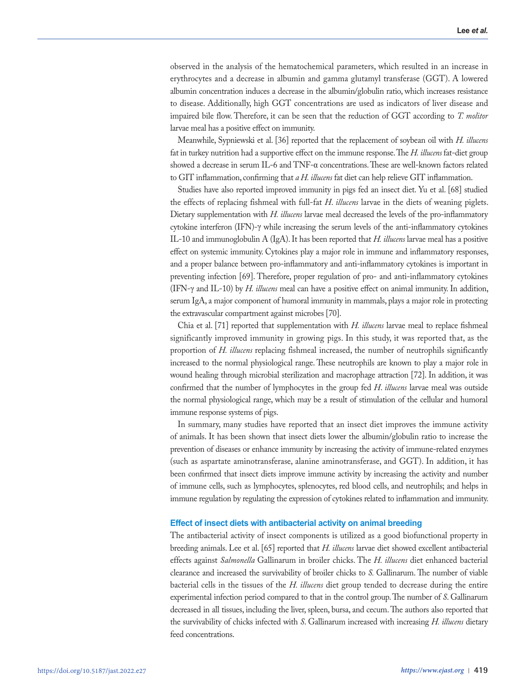observed in the analysis of the hematochemical parameters, which resulted in an increase in erythrocytes and a decrease in albumin and gamma glutamyl transferase (GGT). A lowered albumin concentration induces a decrease in the albumin/globulin ratio, which increases resistance to disease. Additionally, high GGT concentrations are used as indicators of liver disease and impaired bile flow. Therefore, it can be seen that the reduction of GGT according to *T. molitor* larvae meal has a positive effect on immunity.

Meanwhile, Sypniewski et al. [36] reported that the replacement of soybean oil with *H. illucens*  fat in turkey nutrition had a supportive effect on the immune response. The *H. illucens* fat-diet group showed a decrease in serum IL-6 and TNF-α concentrations. These are well-known factors related to GIT inflammation, confirming that *a H. illucens* fat diet can help relieve GIT inflammation.

Studies have also reported improved immunity in pigs fed an insect diet. Yu et al. [68] studied the effects of replacing fishmeal with full-fat *H*. *illucens* larvae in the diets of weaning piglets. Dietary supplementation with *H. illucens* larvae meal decreased the levels of the pro-inflammatory cytokine interferon (IFN)-γ while increasing the serum levels of the anti-inflammatory cytokines IL-10 and immunoglobulin A (IgA). It has been reported that *H. illucens* larvae meal has a positive effect on systemic immunity. Cytokines play a major role in immune and inflammatory responses, and a proper balance between pro-inflammatory and anti-inflammatory cytokines is important in preventing infection [69]. Therefore, proper regulation of pro- and anti-inflammatory cytokines (IFN-γ and IL-10) by *H. illucens* meal can have a positive effect on animal immunity. In addition, serum IgA, a major component of humoral immunity in mammals, plays a major role in protecting the extravascular compartment against microbes [70].

Chia et al. [71] reported that supplementation with *H. illucens* larvae meal to replace fishmeal significantly improved immunity in growing pigs. In this study, it was reported that, as the proportion of *H. illucens* replacing fishmeal increased, the number of neutrophils significantly increased to the normal physiological range. These neutrophils are known to play a major role in wound healing through microbial sterilization and macrophage attraction [72]. In addition, it was confirmed that the number of lymphocytes in the group fed *H*. *illucens* larvae meal was outside the normal physiological range, which may be a result of stimulation of the cellular and humoral immune response systems of pigs.

In summary, many studies have reported that an insect diet improves the immune activity of animals. It has been shown that insect diets lower the albumin/globulin ratio to increase the prevention of diseases or enhance immunity by increasing the activity of immune-related enzymes (such as aspartate aminotransferase, alanine aminotransferase, and GGT). In addition, it has been confirmed that insect diets improve immune activity by increasing the activity and number of immune cells, such as lymphocytes, splenocytes, red blood cells, and neutrophils; and helps in immune regulation by regulating the expression of cytokines related to inflammation and immunity.

#### **Effect of insect diets with antibacterial activity on animal breeding**

The antibacterial activity of insect components is utilized as a good biofunctional property in breeding animals. Lee et al. [65] reported that *H. illucens* larvae diet showed excellent antibacterial effects against *Salmonella* Gallinarum in broiler chicks. The *H. illucens* diet enhanced bacterial clearance and increased the survivability of broiler chicks to *S.* Gallinarum. The number of viable bacterial cells in the tissues of the *H. illucens* diet group tended to decrease during the entire experimental infection period compared to that in the control group. The number of *S*. Gallinarum decreased in all tissues, including the liver, spleen, bursa, and cecum. The authors also reported that the survivability of chicks infected with *S*. Gallinarum increased with increasing *H. illucens* dietary feed concentrations.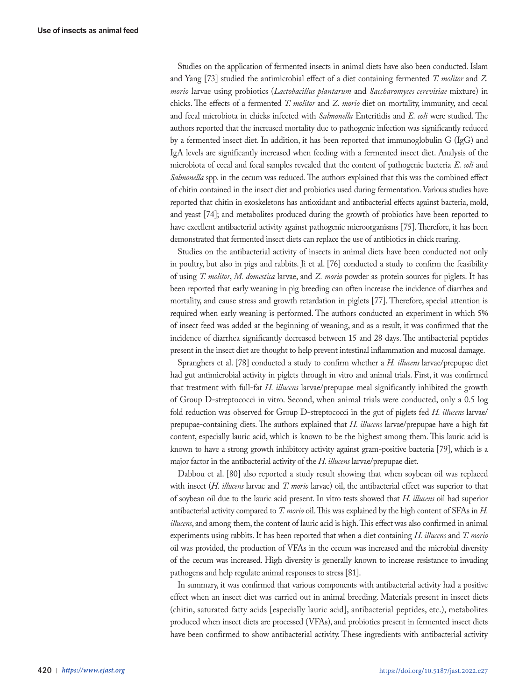Studies on the application of fermented insects in animal diets have also been conducted. Islam and Yang [73] studied the antimicrobial effect of a diet containing fermented *T. molitor* and *Z. morio* larvae using probiotics (*Lactobacillus plantarum* and *Saccharomyces cerevisiae* mixture) in chicks. The effects of a fermented *T. molitor* and *Z. morio* diet on mortality, immunity, and cecal and fecal microbiota in chicks infected with *Salmonella* Enteritidis and *E. coli* were studied. The authors reported that the increased mortality due to pathogenic infection was significantly reduced by a fermented insect diet. In addition, it has been reported that immunoglobulin G (IgG) and IgA levels are significantly increased when feeding with a fermented insect diet. Analysis of the microbiota of cecal and fecal samples revealed that the content of pathogenic bacteria *E. coli* and *Salmonella* spp. in the cecum was reduced. The authors explained that this was the combined effect of chitin contained in the insect diet and probiotics used during fermentation. Various studies have reported that chitin in exoskeletons has antioxidant and antibacterial effects against bacteria, mold, and yeast [74]; and metabolites produced during the growth of probiotics have been reported to have excellent antibacterial activity against pathogenic microorganisms [75]. Therefore, it has been demonstrated that fermented insect diets can replace the use of antibiotics in chick rearing.

Studies on the antibacterial activity of insects in animal diets have been conducted not only in poultry, but also in pigs and rabbits. Ji et al. [76] conducted a study to confirm the feasibility of using *T. molitor*, *M. domestica* larvae, and *Z. morio* powder as protein sources for piglets. It has been reported that early weaning in pig breeding can often increase the incidence of diarrhea and mortality, and cause stress and growth retardation in piglets [77]. Therefore, special attention is required when early weaning is performed. The authors conducted an experiment in which 5% of insect feed was added at the beginning of weaning, and as a result, it was confirmed that the incidence of diarrhea significantly decreased between 15 and 28 days. The antibacterial peptides present in the insect diet are thought to help prevent intestinal inflammation and mucosal damage.

Spranghers et al. [78] conducted a study to confirm whether a *H. illucens* larvae/prepupae diet had gut antimicrobial activity in piglets through in vitro and animal trials. First, it was confirmed that treatment with full-fat *H. illucens* larvae/prepupae meal significantly inhibited the growth of Group D-streptococci in vitro. Second, when animal trials were conducted, only a 0.5 log fold reduction was observed for Group D-streptococci in the gut of piglets fed *H. illucens* larvae/ prepupae-containing diets. The authors explained that *H. illucens* larvae/prepupae have a high fat content, especially lauric acid, which is known to be the highest among them. This lauric acid is known to have a strong growth inhibitory activity against gram-positive bacteria [79], which is a major factor in the antibacterial activity of the *H. illucens* larvae/prepupae diet.

Dabbou et al. [80] also reported a study result showing that when soybean oil was replaced with insect (*H. illucens* larvae and *T. morio* larvae) oil, the antibacterial effect was superior to that of soybean oil due to the lauric acid present. In vitro tests showed that *H. illucens* oil had superior antibacterial activity compared to *T. morio* oil. This was explained by the high content of SFAs in *H. illucens*, and among them, the content of lauric acid is high. This effect was also confirmed in animal experiments using rabbits. It has been reported that when a diet containing *H. illucens* and *T. morio* oil was provided, the production of VFAs in the cecum was increased and the microbial diversity of the cecum was increased. High diversity is generally known to increase resistance to invading pathogens and help regulate animal responses to stress [81].

In summary, it was confirmed that various components with antibacterial activity had a positive effect when an insect diet was carried out in animal breeding. Materials present in insect diets (chitin, saturated fatty acids [especially lauric acid], antibacterial peptides, etc.), metabolites produced when insect diets are processed (VFAs), and probiotics present in fermented insect diets have been confirmed to show antibacterial activity. These ingredients with antibacterial activity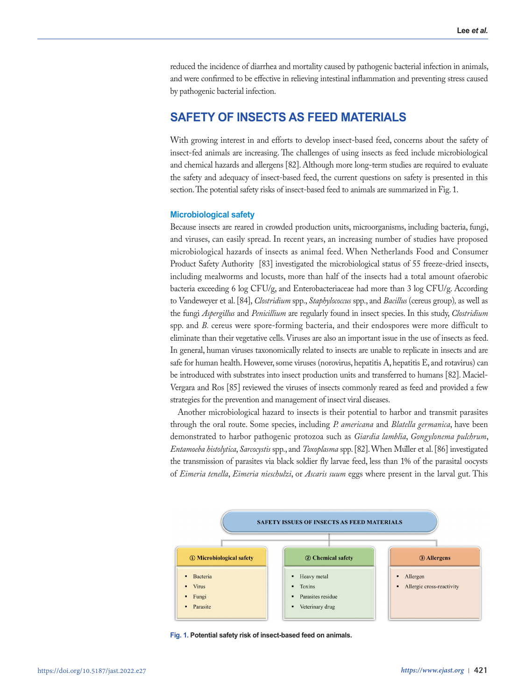reduced the incidence of diarrhea and mortality caused by pathogenic bacterial infection in animals, and were confirmed to be effective in relieving intestinal inflammation and preventing stress caused by pathogenic bacterial infection.

# **SAFETY OF INSECTS AS FEED MATERIALS**

With growing interest in and efforts to develop insect-based feed, concerns about the safety of insect-fed animals are increasing. The challenges of using insects as feed include microbiological and chemical hazards and allergens [82]. Although more long-term studies are required to evaluate the safety and adequacy of insect-based feed, the current questions on safety is presented in this section. The potential safety risks of insect-based feed to animals are summarized in Fig. 1.

## **Microbiological safety**

Because insects are reared in crowded production units, microorganisms, including bacteria, fungi, and viruses, can easily spread. In recent years, an increasing number of studies have proposed microbiological hazards of insects as animal feed. When Netherlands Food and Consumer Product Safety Authority [83] investigated the microbiological status of 55 freeze-dried insects, including mealworms and locusts, more than half of the insects had a total amount ofaerobic bacteria exceeding 6 log CFU/g, and Enterobacteriaceae had more than 3 log CFU/g. According to Vandeweyer et al. [84], *Clostridium* spp., *Staphylococcus* spp., and *Bacillus* (cereus group)*,* as well as the fungi *Aspergillus* and *Penicillium* are regularly found in insect species. In this study, *Clostridium*  spp. and *B.* cereus were spore-forming bacteria, and their endospores were more difficult to eliminate than their vegetative cells. Viruses are also an important issue in the use of insects as feed. In general, human viruses taxonomically related to insects are unable to replicate in insects and are safe for human health. However, some viruses (norovirus, hepatitis A, hepatitis E, and rotavirus) can be introduced with substrates into insect production units and transferred to humans [82]. Maciel-Vergara and Ros [85] reviewed the viruses of insects commonly reared as feed and provided a few strategies for the prevention and management of insect viral diseases.

Another microbiological hazard to insects is their potential to harbor and transmit parasites through the oral route. Some species, including *P. americana* and *Blatella germanica*, have been demonstrated to harbor pathogenic protozoa such as *Giardia lamblia*, *Gongylonema pulchrum*, *Entamoeba histolytica*, *Sarcocystis* spp., and *Toxoplasma* spp. [82]. When Muller et al. [86] investigated ̈ the transmission of parasites via black soldier fly larvae feed, less than 1% of the parasital oocysts of *Eimeria tenella*, *Eimeria nieschulzi*, or *Ascaris suum* eggs where present in the larval gut. This



**Fig. 1. Potential safety risk of insect-based feed on animals.**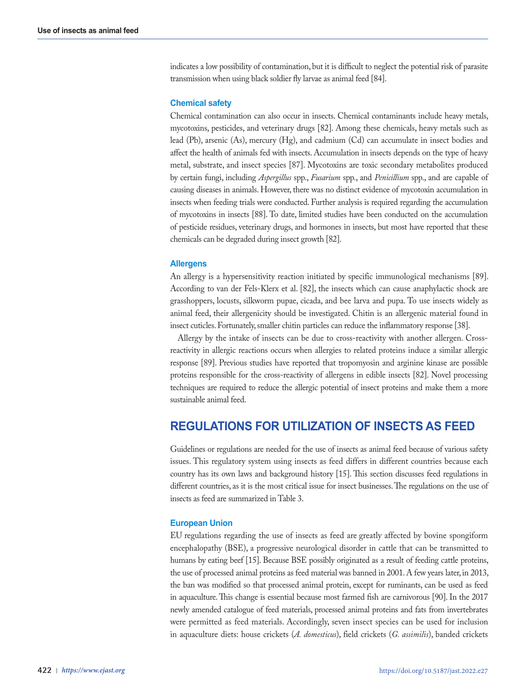indicates a low possibility of contamination, but it is difficult to neglect the potential risk of parasite transmission when using black soldier fly larvae as animal feed [84].

#### **Chemical safety**

Chemical contamination can also occur in insects. Chemical contaminants include heavy metals, mycotoxins, pesticides, and veterinary drugs [82]. Among these chemicals, heavy metals such as lead (Pb), arsenic (As), mercury (Hg), and cadmium (Cd) can accumulate in insect bodies and affect the health of animals fed with insects. Accumulation in insects depends on the type of heavy metal, substrate, and insect species [87]. Mycotoxins are toxic secondary metabolites produced by certain fungi, including *Aspergillus* spp., *Fusarium* spp., and *Penicillium* spp., and are capable of causing diseases in animals. However, there was no distinct evidence of mycotoxin accumulation in insects when feeding trials were conducted. Further analysis is required regarding the accumulation of mycotoxins in insects [88]. To date, limited studies have been conducted on the accumulation of pesticide residues, veterinary drugs, and hormones in insects, but most have reported that these chemicals can be degraded during insect growth [82].

#### **Allergens**

An allergy is a hypersensitivity reaction initiated by specific immunological mechanisms [89]. According to van der Fels‐Klerx et al. [82], the insects which can cause anaphylactic shock are grasshoppers, locusts, silkworm pupae, cicada, and bee larva and pupa. To use insects widely as animal feed, their allergenicity should be investigated. Chitin is an allergenic material found in insect cuticles. Fortunately, smaller chitin particles can reduce the inflammatory response [38].

Allergy by the intake of insects can be due to cross-reactivity with another allergen. Crossreactivity in allergic reactions occurs when allergies to related proteins induce a similar allergic response [89]. Previous studies have reported that tropomyosin and arginine kinase are possible proteins responsible for the cross-reactivity of allergens in edible insects [82]. Novel processing techniques are required to reduce the allergic potential of insect proteins and make them a more sustainable animal feed.

# **REGULATIONS FOR UTILIZATION OF INSECTS AS FEED**

Guidelines or regulations are needed for the use of insects as animal feed because of various safety issues. This regulatory system using insects as feed differs in different countries because each country has its own laws and background history [15]. This section discusses feed regulations in different countries, as it is the most critical issue for insect businesses. The regulations on the use of insects as feed are summarized in Table 3.

#### **European Union**

EU regulations regarding the use of insects as feed are greatly affected by bovine spongiform encephalopathy (BSE), a progressive neurological disorder in cattle that can be transmitted to humans by eating beef [15]. Because BSE possibly originated as a result of feeding cattle proteins, the use of processed animal proteins as feed material was banned in 2001. A few years later, in 2013, the ban was modified so that processed animal protein, except for ruminants, can be used as feed in aquaculture. This change is essential because most farmed fish are carnivorous [90]. In the 2017 newly amended catalogue of feed materials, processed animal proteins and fats from invertebrates were permitted as feed materials. Accordingly, seven insect species can be used for inclusion in aquaculture diets: house crickets (*A. domesticus*), field crickets (*G. assimilis*), banded crickets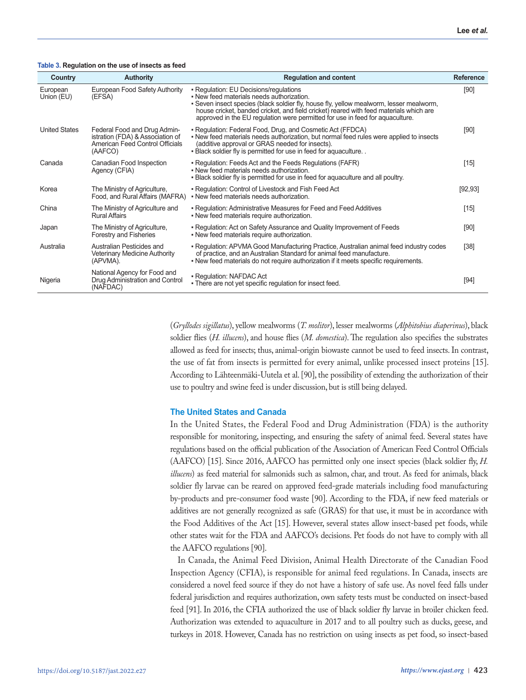#### **Table 3. Regulation on the use of insects as feed**

| Country                | <b>Authority</b>                                                                                               | <b>Regulation and content</b>                                                                                                                                                                                                                                                                                                                             | <b>Reference</b> |
|------------------------|----------------------------------------------------------------------------------------------------------------|-----------------------------------------------------------------------------------------------------------------------------------------------------------------------------------------------------------------------------------------------------------------------------------------------------------------------------------------------------------|------------------|
| European<br>Union (EU) | European Food Safety Authority<br>(EFSA)                                                                       | • Regulation: EU Decisions/regulations<br>. New feed materials needs authorization.<br>. Seven insect species (black soldier fly, house fly, yellow mealworm, lesser mealworm,<br>house cricket, banded cricket, and field cricket) reared with feed materials which are<br>approved in the EU regulation were permitted for use in feed for aguaculture. | [90]             |
| <b>United States</b>   | Federal Food and Drug Admin-<br>istration (FDA) & Association of<br>American Feed Control Officials<br>(AAFCO) | • Regulation: Federal Food, Drug, and Cosmetic Act (FFDCA)<br>. New feed materials needs authorization, but normal feed rules were applied to insects<br>(additive approval or GRAS needed for insects).<br>. Black soldier fly is permitted for use in feed for aquaculture                                                                              | [90]             |
| Canada                 | Canadian Food Inspection<br>Agency (CFIA)                                                                      | • Regulation: Feeds Act and the Feeds Regulations (FAFR)<br>. New feed materials needs authorization.<br>. Black soldier fly is permitted for use in feed for aguaculture and all poultry.                                                                                                                                                                | $[15]$           |
| Korea                  | The Ministry of Agriculture,<br>Food, and Rural Affairs (MAFRA)                                                | • Regulation: Control of Livestock and Fish Feed Act<br>. New feed materials needs authorization.                                                                                                                                                                                                                                                         | [92, 93]         |
| China                  | The Ministry of Agriculture and<br><b>Rural Affairs</b>                                                        | • Regulation: Administrative Measures for Feed and Feed Additives<br>. New feed materials require authorization.                                                                                                                                                                                                                                          | $[15]$           |
| Japan                  | The Ministry of Agriculture,<br>Forestry and Fisheries                                                         | - Regulation: Act on Safety Assurance and Quality Improvement of Feeds<br>. New feed materials require authorization.                                                                                                                                                                                                                                     | $[90]$           |
| Australia              | Australian Pesticides and<br><b>Veterinary Medicine Authority</b><br>(APVMA).                                  | • Regulation: APVMA Good Manufacturing Practice, Australian animal feed industry codes<br>of practice, and an Australian Standard for animal feed manufacture.<br>- New feed materials do not require authorization if it meets specific requirements.                                                                                                    | $[38]$           |
| Nigeria                | National Agency for Food and<br>Drug Administration and Control<br>(NAFDAC)                                    | • Regulation: NAFDAC Act<br>. There are not yet specific regulation for insect feed.                                                                                                                                                                                                                                                                      | [94]             |

(*Gryllodes sigillatus*), yellow mealworms (*T. molitor*), lesser mealworms (*Alphitobius diaperinus*), black soldier flies (*H. illucens*), and house flies (*M. domestica*). The regulation also specifies the substrates allowed as feed for insects; thus, animal-origin biowaste cannot be used to feed insects. In contrast, the use of fat from insects is permitted for every animal, unlike processed insect proteins [15]. According to Lähteenmäki-Uutela et al. [90], the possibility of extending the authorization of their use to poultry and swine feed is under discussion, but is still being delayed.

#### **The United States and Canada**

In the United States, the Federal Food and Drug Administration (FDA) is the authority responsible for monitoring, inspecting, and ensuring the safety of animal feed. Several states have regulations based on the official publication of the Association of American Feed Control Officials (AAFCO) [15]. Since 2016, AAFCO has permitted only one insect species (black soldier fly, *H. illucens*) as feed material for salmonids such as salmon, char, and trout. As feed for animals, black soldier fly larvae can be reared on approved feed-grade materials including food manufacturing by-products and pre-consumer food waste [90]. According to the FDA, if new feed materials or additives are not generally recognized as safe (GRAS) for that use, it must be in accordance with the Food Additives of the Act [15]. However, several states allow insect-based pet foods, while other states wait for the FDA and AAFCO's decisions. Pet foods do not have to comply with all the AAFCO regulations [90].

In Canada, the Animal Feed Division, Animal Health Directorate of the Canadian Food Inspection Agency (CFIA), is responsible for animal feed regulations. In Canada, insects are considered a novel feed source if they do not have a history of safe use. As novel feed falls under federal jurisdiction and requires authorization, own safety tests must be conducted on insect-based feed [91]. In 2016, the CFIA authorized the use of black soldier fly larvae in broiler chicken feed. Authorization was extended to aquaculture in 2017 and to all poultry such as ducks, geese, and turkeys in 2018. However, Canada has no restriction on using insects as pet food, so insect-based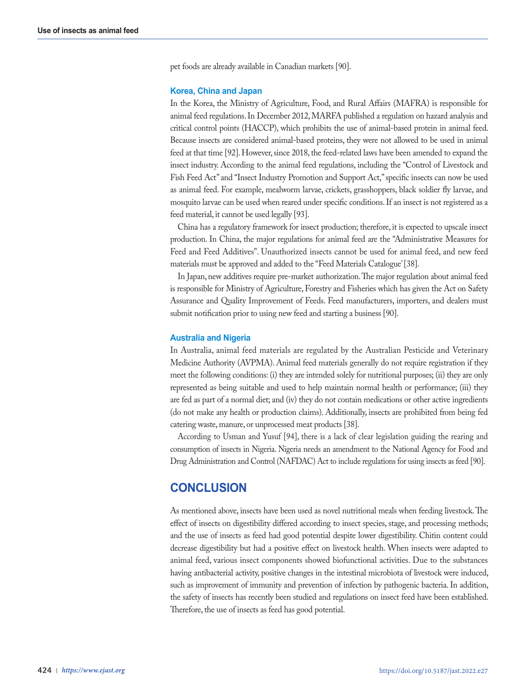pet foods are already available in Canadian markets [90].

#### **Korea, China and Japan**

In the Korea, the Ministry of Agriculture, Food, and Rural Affairs (MAFRA) is responsible for animal feed regulations. In December 2012, MARFA published a regulation on hazard analysis and critical control points (HACCP), which prohibits the use of animal-based protein in animal feed. Because insects are considered animal-based proteins, they were not allowed to be used in animal feed at that time [92]. However, since 2018, the feed-related laws have been amended to expand the insect industry. According to the animal feed regulations, including the "Control of Livestock and Fish Feed Act" and "Insect Industry Promotion and Support Act," specific insects can now be used as animal feed. For example, mealworm larvae, crickets, grasshoppers, black soldier fly larvae, and mosquito larvae can be used when reared under specific conditions. If an insect is not registered as a feed material, it cannot be used legally [93].

China has a regulatory framework for insect production; therefore, it is expected to upscale insect production. In China, the major regulations for animal feed are the "Administrative Measures for Feed and Feed Additives". Unauthorized insects cannot be used for animal feed, and new feed materials must be approved and added to the "Feed Materials Catalogue' [38].

In Japan, new additives require pre-market authorization. The major regulation about animal feed is responsible for Ministry of Agriculture, Forestry and Fisheries which has given the Act on Safety Assurance and Quality Improvement of Feeds. Feed manufacturers, importers, and dealers must submit notification prior to using new feed and starting a business [90].

#### **Australia and Nigeria**

In Australia, animal feed materials are regulated by the Australian Pesticide and Veterinary Medicine Authority (AVPMA). Animal feed materials generally do not require registration if they meet the following conditions: (i) they are intended solely for nutritional purposes; (ii) they are only represented as being suitable and used to help maintain normal health or performance; (iii) they are fed as part of a normal diet; and (iv) they do not contain medications or other active ingredients (do not make any health or production claims). Additionally, insects are prohibited from being fed catering waste, manure, or unprocessed meat products [38].

According to Usman and Yusuf [94], there is a lack of clear legislation guiding the rearing and consumption of insects in Nigeria. Nigeria needs an amendment to the National Agency for Food and Drug Administration and Control (NAFDAC) Act to include regulations for using insects as feed [90].

# **CONCLUSION**

As mentioned above, insects have been used as novel nutritional meals when feeding livestock. The effect of insects on digestibility differed according to insect species, stage, and processing methods; and the use of insects as feed had good potential despite lower digestibility. Chitin content could decrease digestibility but had a positive effect on livestock health. When insects were adapted to animal feed, various insect components showed biofunctional activities. Due to the substances having antibacterial activity, positive changes in the intestinal microbiota of livestock were induced, such as improvement of immunity and prevention of infection by pathogenic bacteria. In addition, the safety of insects has recently been studied and regulations on insect feed have been established. Therefore, the use of insects as feed has good potential.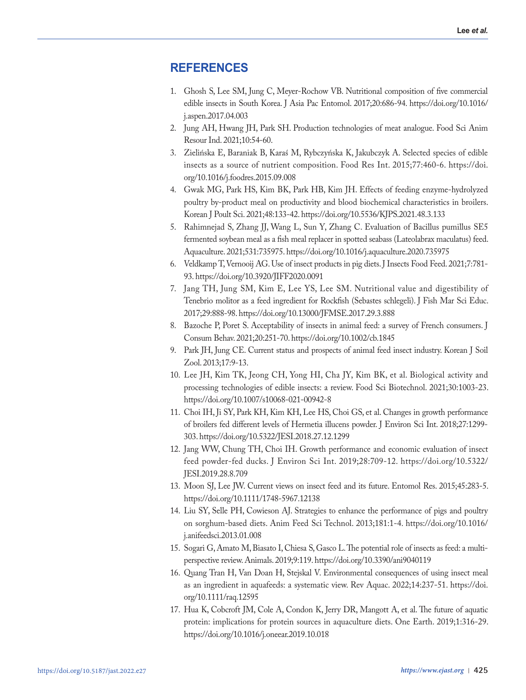# **REFERENCES**

- 1. Ghosh S, Lee SM, Jung C, Meyer-Rochow VB. Nutritional composition of five commercial edible insects in South Korea. J Asia Pac Entomol. 2017;20:686-94. https://doi.org/10.1016/ j.aspen.2017.04.003
- 2. Jung AH, Hwang JH, Park SH. Production technologies of meat analogue. Food Sci Anim Resour Ind. 2021;10:54-60.
- 3. Zielińska E, Baraniak B, Karaś M, Rybczyńska K, Jakubczyk A. Selected species of edible insects as a source of nutrient composition. Food Res Int. 2015;77:460-6. https://doi. org/10.1016/j.foodres.2015.09.008
- 4. Gwak MG, Park HS, Kim BK, Park HB, Kim JH. Effects of feeding enzyme-hydrolyzed poultry by-product meal on productivity and blood biochemical characteristics in broilers. Korean J Poult Sci. 2021;48:133-42. https://doi.org/10.5536/KJPS.2021.48.3.133
- 5. Rahimnejad S, Zhang JJ, Wang L, Sun Y, Zhang C. Evaluation of Bacillus pumillus SE5 fermented soybean meal as a fish meal replacer in spotted seabass (Lateolabrax maculatus) feed. Aquaculture. 2021;531:735975. https://doi.org/10.1016/j.aquaculture.2020.735975
- 6. Veldkamp T, Vernooij AG. Use of insect products in pig diets. J Insects Food Feed. 2021;7:781- 93. https://doi.org/10.3920/JIFF2020.0091
- 7. Jang TH, Jung SM, Kim E, Lee YS, Lee SM. Nutritional value and digestibility of Tenebrio molitor as a feed ingredient for Rockfish (Sebastes schlegeli). J Fish Mar Sci Educ. 2017;29:888-98. https://doi.org/10.13000/JFMSE.2017.29.3.888
- 8. Bazoche P, Poret S. Acceptability of insects in animal feed: a survey of French consumers. J Consum Behav. 2021;20:251-70. https://doi.org/10.1002/cb.1845
- 9. Park JH, Jung CE. Current status and prospects of animal feed insect industry. Korean J Soil Zool. 2013;17:9-13.
- 10. Lee JH, Kim TK, Jeong CH, Yong HI, Cha JY, Kim BK, et al. Biological activity and processing technologies of edible insects: a review. Food Sci Biotechnol. 2021;30:1003-23. https://doi.org/10.1007/s10068-021-00942-8
- 11. Choi IH, Ji SY, Park KH, Kim KH, Lee HS, Choi GS, et al. Changes in growth performance of broilers fed different levels of Hermetia illucens powder. J Environ Sci Int. 2018;27:1299- 303. https://doi.org/10.5322/JESI.2018.27.12.1299
- 12. Jang WW, Chung TH, Choi IH. Growth performance and economic evaluation of insect feed powder-fed ducks. J Environ Sci Int. 2019;28:709-12. https://doi.org/10.5322/ JESI.2019.28.8.709
- 13. Moon SJ, Lee JW. Current views on insect feed and its future. Entomol Res. 2015;45:283-5. https://doi.org/10.1111/1748-5967.12138
- 14. Liu SY, Selle PH, Cowieson AJ. Strategies to enhance the performance of pigs and poultry on sorghum-based diets. Anim Feed Sci Technol. 2013;181:1-4. https://doi.org/10.1016/ j.anifeedsci.2013.01.008
- 15. Sogari G, Amato M, Biasato I, Chiesa S, Gasco L. The potential role of insects as feed: a multiperspective review. Animals. 2019;9:119. https://doi.org/10.3390/ani9040119
- 16. Quang Tran H, Van Doan H, Stejskal V. Environmental consequences of using insect meal as an ingredient in aquafeeds: a systematic view. Rev Aquac. 2022;14:237-51. https://doi. org/10.1111/raq.12595
- 17. Hua K, Cobcroft JM, Cole A, Condon K, Jerry DR, Mangott A, et al. The future of aquatic protein: implications for protein sources in aquaculture diets. One Earth. 2019;1:316-29. https://doi.org/10.1016/j.oneear.2019.10.018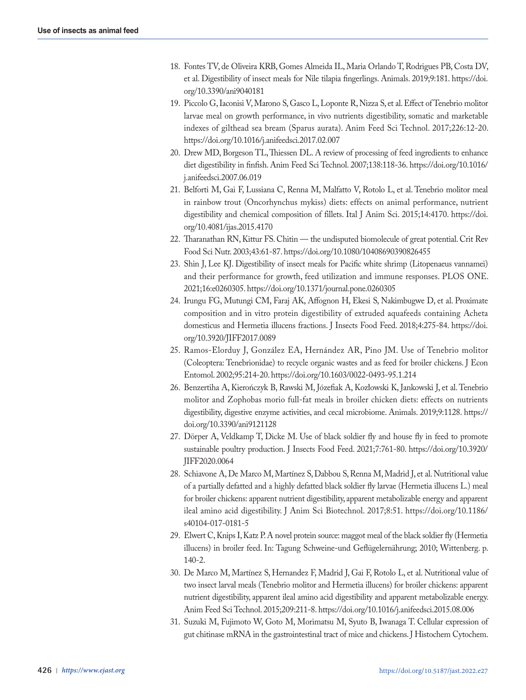- 18. Fontes TV, de Oliveira KRB, Gomes Almeida IL, Maria Orlando T, Rodrigues PB, Costa DV, et al. Digestibility of insect meals for Nile tilapia fingerlings. Animals. 2019;9:181. https://doi. org/10.3390/ani9040181
- 19. Piccolo G, Iaconisi V, Marono S, Gasco L, Loponte R, Nizza S, et al. Effect of Tenebrio molitor larvae meal on growth performance, in vivo nutrients digestibility, somatic and marketable indexes of gilthead sea bream (Sparus aurata). Anim Feed Sci Technol. 2017;226:12-20. https://doi.org/10.1016/j.anifeedsci.2017.02.007
- 20. Drew MD, Borgeson TL, Thiessen DL. A review of processing of feed ingredients to enhance diet digestibility in finfish. Anim Feed Sci Technol. 2007;138:118-36. https://doi.org/10.1016/ j.anifeedsci.2007.06.019
- 21. Belforti M, Gai F, Lussiana C, Renna M, Malfatto V, Rotolo L, et al. Tenebrio molitor meal in rainbow trout (Oncorhynchus mykiss) diets: effects on animal performance, nutrient digestibility and chemical composition of fillets. Ital J Anim Sci. 2015;14:4170. https://doi. org/10.4081/ijas.2015.4170
- 22. Tharanathan RN, Kittur FS. Chitin the undisputed biomolecule of great potential. Crit Rev Food Sci Nutr. 2003;43:61-87. https://doi.org/10.1080/10408690390826455
- 23. Shin J, Lee KJ. Digestibility of insect meals for Pacific white shrimp (Litopenaeus vannamei) and their performance for growth, feed utilization and immune responses. PLOS ONE. 2021;16:e0260305. https://doi.org/10.1371/journal.pone.0260305
- 24. Irungu FG, Mutungi CM, Faraj AK, Affognon H, Ekesi S, Nakimbugwe D, et al. Proximate composition and in vitro protein digestibility of extruded aquafeeds containing Acheta domesticus and Hermetia illucens fractions. J Insects Food Feed. 2018;4:275-84. https://doi. org/10.3920/JIFF2017.0089
- 25. Ramos-Elorduy J, González EA, Hernández AR, Pino JM. Use of Tenebrio molitor (Coleoptera: Tenebrionidae) to recycle organic wastes and as feed for broiler chickens. J Econ Entomol. 2002;95:214-20. https://doi.org/10.1603/0022-0493-95.1.214
- 26. Benzertiha A, Kierończyk B, Rawski M, Józefiak A, Kozłowski K, Jankowski J, et al. Tenebrio molitor and Zophobas morio full-fat meals in broiler chicken diets: effects on nutrients digestibility, digestive enzyme activities, and cecal microbiome. Animals. 2019;9:1128. https:// doi.org/10.3390/ani9121128
- 27. Dörper A, Veldkamp T, Dicke M. Use of black soldier fly and house fly in feed to promote sustainable poultry production. J Insects Food Feed. 2021;7:761-80. https://doi.org/10.3920/ JIFF2020.0064
- 28. Schiavone A, De Marco M, Martínez S, Dabbou S, Renna M, Madrid J, et al. Nutritional value of a partially defatted and a highly defatted black soldier fly larvae (Hermetia illucens L.) meal for broiler chickens: apparent nutrient digestibility, apparent metabolizable energy and apparent ileal amino acid digestibility. J Anim Sci Biotechnol. 2017;8:51. https://doi.org/10.1186/ s40104-017-0181-5
- 29. Elwert C, Knips I, Katz P. A novel protein source: maggot meal of the black soldier fly (Hermetia illucens) in broiler feed. In: Tagung Schweine-und Geflügelernährung; 2010; Wittenberg. p. 140-2.
- 30. De Marco M, Martínez S, Hernandez F, Madrid J, Gai F, Rotolo L, et al. Nutritional value of two insect larval meals (Tenebrio molitor and Hermetia illucens) for broiler chickens: apparent nutrient digestibility, apparent ileal amino acid digestibility and apparent metabolizable energy. Anim Feed Sci Technol. 2015;209:211-8. https://doi.org/10.1016/j.anifeedsci.2015.08.006
- 31. Suzuki M, Fujimoto W, Goto M, Morimatsu M, Syuto B, Iwanaga T. Cellular expression of gut chitinase mRNA in the gastrointestinal tract of mice and chickens. J Histochem Cytochem.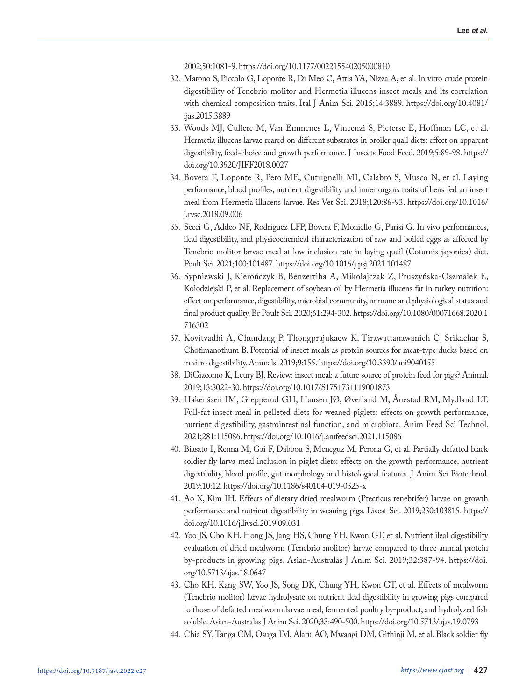2002;50:1081-9. https://doi.org/10.1177/002215540205000810

- 32. Marono S, Piccolo G, Loponte R, Di Meo C, Attia YA, Nizza A, et al. In vitro crude protein digestibility of Tenebrio molitor and Hermetia illucens insect meals and its correlation with chemical composition traits. Ital J Anim Sci. 2015;14:3889. https://doi.org/10.4081/ ijas.2015.3889
- 33. Woods MJ, Cullere M, Van Emmenes L, Vincenzi S, Pieterse E, Hoffman LC, et al. Hermetia illucens larvae reared on different substrates in broiler quail diets: effect on apparent digestibility, feed-choice and growth performance. J Insects Food Feed. 2019;5:89-98. https:// doi.org/10.3920/JIFF2018.0027
- 34. Bovera F, Loponte R, Pero ME, Cutrignelli MI, Calabrò S, Musco N, et al. Laying performance, blood profiles, nutrient digestibility and inner organs traits of hens fed an insect meal from Hermetia illucens larvae. Res Vet Sci. 2018;120:86-93. https://doi.org/10.1016/ j.rvsc.2018.09.006
- 35. Secci G, Addeo NF, Rodriguez LFP, Bovera F, Moniello G, Parisi G. In vivo performances, ileal digestibility, and physicochemical characterization of raw and boiled eggs as affected by Tenebrio molitor larvae meal at low inclusion rate in laying quail (Coturnix japonica) diet. Poult Sci. 2021;100:101487. https://doi.org/10.1016/j.psj.2021.101487
- 36. Sypniewski J, Kierończyk B, Benzertiha A, Mikołajczak Z, Pruszyńska-Oszmałek E, Kołodziejski P, et al. Replacement of soybean oil by Hermetia illucens fat in turkey nutrition: effect on performance, digestibility, microbial community, immune and physiological status and final product quality. Br Poult Sci. 2020;61:294-302. https://doi.org/10.1080/00071668.2020.1 716302
- 37. Kovitvadhi A, Chundang P, Thongprajukaew K, Tirawattanawanich C, Srikachar S, Chotimanothum B. Potential of insect meals as protein sources for meat-type ducks based on in vitro digestibility. Animals. 2019;9:155. https://doi.org/10.3390/ani9040155
- 38. DiGiacomo K, Leury BJ. Review: insect meal: a future source of protein feed for pigs? Animal. 2019;13:3022-30. https://doi.org/10.1017/S1751731119001873
- 39. Håkenåsen IM, Grepperud GH, Hansen JØ, Øverland M, Ånestad RM, Mydland LT. Full-fat insect meal in pelleted diets for weaned piglets: effects on growth performance, nutrient digestibility, gastrointestinal function, and microbiota. Anim Feed Sci Technol. 2021;281:115086. https://doi.org/10.1016/j.anifeedsci.2021.115086
- 40. Biasato I, Renna M, Gai F, Dabbou S, Meneguz M, Perona G, et al. Partially defatted black soldier fly larva meal inclusion in piglet diets: effects on the growth performance, nutrient digestibility, blood profile, gut morphology and histological features. J Anim Sci Biotechnol. 2019;10:12. https://doi.org/10.1186/s40104-019-0325-x
- 41. Ao X, Kim IH. Effects of dietary dried mealworm (Ptecticus tenebrifer) larvae on growth performance and nutrient digestibility in weaning pigs. Livest Sci. 2019;230:103815. https:// doi.org/10.1016/j.livsci.2019.09.031
- 42. Yoo JS, Cho KH, Hong JS, Jang HS, Chung YH, Kwon GT, et al. Nutrient ileal digestibility evaluation of dried mealworm (Tenebrio molitor) larvae compared to three animal protein by-products in growing pigs. Asian-Australas J Anim Sci. 2019;32:387-94. https://doi. org/10.5713/ajas.18.0647
- 43. Cho KH, Kang SW, Yoo JS, Song DK, Chung YH, Kwon GT, et al. Effects of mealworm (Tenebrio molitor) larvae hydrolysate on nutrient ileal digestibility in growing pigs compared to those of defatted mealworm larvae meal, fermented poultry by-product, and hydrolyzed fish soluble. Asian-Australas J Anim Sci. 2020;33:490-500. https://doi.org/10.5713/ajas.19.0793
- 44. Chia SY, Tanga CM, Osuga IM, Alaru AO, Mwangi DM, Githinji M, et al. Black soldier fly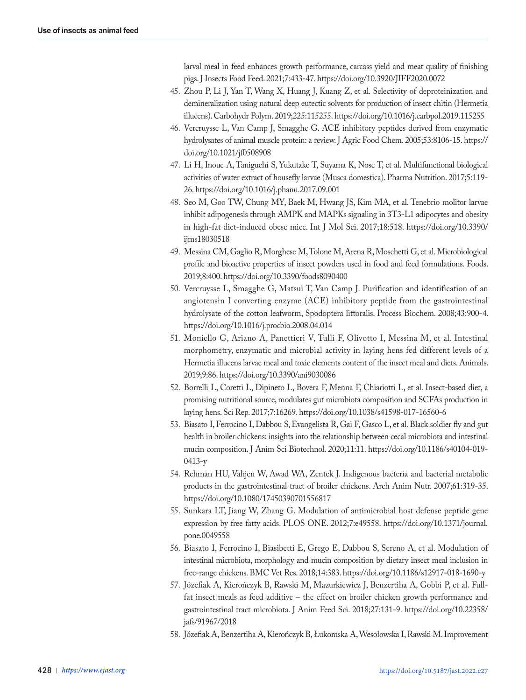larval meal in feed enhances growth performance, carcass yield and meat quality of finishing pigs. J Insects Food Feed. 2021;7:433-47. https://doi.org/10.3920/JIFF2020.0072

- 45. Zhou P, Li J, Yan T, Wang X, Huang J, Kuang Z, et al. Selectivity of deproteinization and demineralization using natural deep eutectic solvents for production of insect chitin (Hermetia illucens). Carbohydr Polym. 2019;225:115255. https://doi.org/10.1016/j.carbpol.2019.115255
- 46. Vercruysse L, Van Camp J, Smagghe G. ACE inhibitory peptides derived from enzymatic hydrolysates of animal muscle protein: a review. J Agric Food Chem. 2005;53:8106-15. https:// doi.org/10.1021/jf0508908
- 47. Li H, Inoue A, Taniguchi S, Yukutake T, Suyama K, Nose T, et al. Multifunctional biological activities of water extract of housefly larvae (Musca domestica). Pharma Nutrition. 2017;5:119- 26. https://doi.org/10.1016/j.phanu.2017.09.001
- 48. Seo M, Goo TW, Chung MY, Baek M, Hwang JS, Kim MA, et al. Tenebrio molitor larvae inhibit adipogenesis through AMPK and MAPKs signaling in 3T3-L1 adipocytes and obesity in high-fat diet-induced obese mice. Int J Mol Sci. 2017;18:518. https://doi.org/10.3390/ ijms18030518
- 49. Messina CM, Gaglio R, Morghese M, Tolone M, Arena R, Moschetti G, et al. Microbiological profile and bioactive properties of insect powders used in food and feed formulations. Foods. 2019;8:400. https://doi.org/10.3390/foods8090400
- 50. Vercruysse L, Smagghe G, Matsui T, Van Camp J. Purification and identification of an angiotensin I converting enzyme (ACE) inhibitory peptide from the gastrointestinal hydrolysate of the cotton leafworm, Spodoptera littoralis. Process Biochem. 2008;43:900-4. https://doi.org/10.1016/j.procbio.2008.04.014
- 51. Moniello G, Ariano A, Panettieri V, Tulli F, Olivotto I, Messina M, et al. Intestinal morphometry, enzymatic and microbial activity in laying hens fed different levels of a Hermetia illucens larvae meal and toxic elements content of the insect meal and diets. Animals. 2019;9:86. https://doi.org/10.3390/ani9030086
- 52. Borrelli L, Coretti L, Dipineto L, Bovera F, Menna F, Chiariotti L, et al. Insect-based diet, a promising nutritional source, modulates gut microbiota composition and SCFAs production in laying hens. Sci Rep. 2017;7:16269. https://doi.org/10.1038/s41598-017-16560-6
- 53. Biasato I, Ferrocino I, Dabbou S, Evangelista R, Gai F, Gasco L, et al. Black soldier fly and gut health in broiler chickens: insights into the relationship between cecal microbiota and intestinal mucin composition. J Anim Sci Biotechnol. 2020;11:11. https://doi.org/10.1186/s40104-019- 0413-y
- 54. Rehman HU, Vahjen W, Awad WA, Zentek J. Indigenous bacteria and bacterial metabolic products in the gastrointestinal tract of broiler chickens. Arch Anim Nutr. 2007;61:319-35. https://doi.org/10.1080/17450390701556817
- 55. Sunkara LT, Jiang W, Zhang G. Modulation of antimicrobial host defense peptide gene expression by free fatty acids. PLOS ONE. 2012;7:e49558. https://doi.org/10.1371/journal. pone.0049558
- 56. Biasato I, Ferrocino I, Biasibetti E, Grego E, Dabbou S, Sereno A, et al. Modulation of intestinal microbiota, morphology and mucin composition by dietary insect meal inclusion in free-range chickens. BMC Vet Res. 2018;14:383. https://doi.org/10.1186/s12917-018-1690-y
- 57. Józefiak A, Kierończyk B, Rawski M, Mazurkiewicz J, Benzertiha A, Gobbi P, et al. Fullfat insect meals as feed additive – the effect on broiler chicken growth performance and gastrointestinal tract microbiota. J Anim Feed Sci. 2018;27:131-9. https://doi.org/10.22358/ jafs/91967/2018
- 58. Józefiak A, Benzertiha A, Kierończyk B, Łukomska A, Wesołowska I, Rawski M. Improvement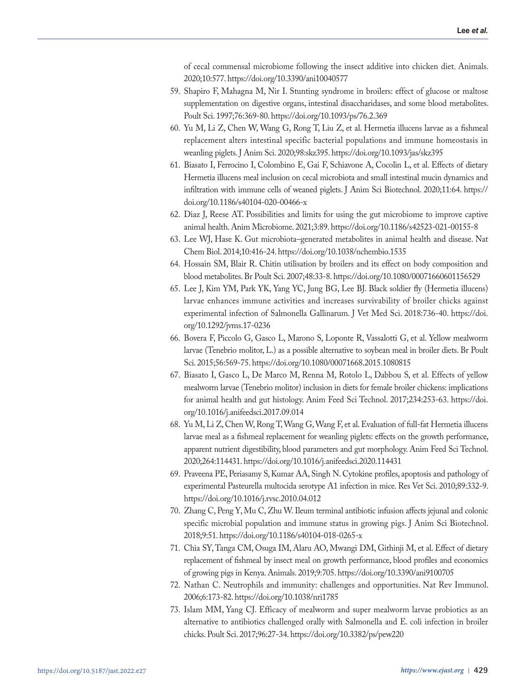of cecal commensal microbiome following the insect additive into chicken diet. Animals. 2020;10:577. https://doi.org/10.3390/ani10040577

- 59. Shapiro F, Mahagna M, Nir I. Stunting syndrome in broilers: effect of glucose or maltose supplementation on digestive organs, intestinal disaccharidases, and some blood metabolites. Poult Sci. 1997;76:369-80. https://doi.org/10.1093/ps/76.2.369
- 60. Yu M, Li Z, Chen W, Wang G, Rong T, Liu Z, et al. Hermetia illucens larvae as a fishmeal replacement alters intestinal specific bacterial populations and immune homeostasis in weanling piglets. J Anim Sci. 2020;98:skz395. https://doi.org/10.1093/jas/skz395
- 61. Biasato I, Ferrocino I, Colombino E, Gai F, Schiavone A, Cocolin L, et al. Effects of dietary Hermetia illucens meal inclusion on cecal microbiota and small intestinal mucin dynamics and infiltration with immune cells of weaned piglets. J Anim Sci Biotechnol. 2020;11:64. https:// doi.org/10.1186/s40104-020-00466-x
- 62. Diaz J, Reese AT. Possibilities and limits for using the gut microbiome to improve captive animal health. Anim Microbiome. 2021;3:89. https://doi.org/10.1186/s42523-021-00155-8
- 63. Lee WJ, Hase K. Gut microbiota–generated metabolites in animal health and disease. Nat Chem Biol. 2014;10:416-24. https://doi.org/10.1038/nchembio.1535
- 64. Hossain SM, Blair R. Chitin utilisation by broilers and its effect on body composition and blood metabolites. Br Poult Sci. 2007;48:33-8. https://doi.org/10.1080/00071660601156529
- 65. Lee J, Kim YM, Park YK, Yang YC, Jung BG, Lee BJ. Black soldier fly (Hermetia illucens) larvae enhances immune activities and increases survivability of broiler chicks against experimental infection of Salmonella Gallinarum. J Vet Med Sci. 2018:736-40. https://doi. org/10.1292/jvms.17-0236
- 66. Bovera F, Piccolo G, Gasco L, Marono S, Loponte R, Vassalotti G, et al. Yellow mealworm larvae (Tenebrio molitor, L.) as a possible alternative to soybean meal in broiler diets. Br Poult Sci. 2015;56:569-75. https://doi.org/10.1080/00071668.2015.1080815
- 67. Biasato I, Gasco L, De Marco M, Renna M, Rotolo L, Dabbou S, et al. Effects of yellow mealworm larvae (Tenebrio molitor) inclusion in diets for female broiler chickens: implications for animal health and gut histology. Anim Feed Sci Technol. 2017;234:253-63. https://doi. org/10.1016/j.anifeedsci.2017.09.014
- 68. Yu M, Li Z, Chen W, Rong T, Wang G, Wang F, et al. Evaluation of full-fat Hermetia illucens larvae meal as a fishmeal replacement for weanling piglets: effects on the growth performance, apparent nutrient digestibility, blood parameters and gut morphology. Anim Feed Sci Technol. 2020;264:114431. https://doi.org/10.1016/j.anifeedsci.2020.114431
- 69. Praveena PE, Periasamy S, Kumar AA, Singh N. Cytokine profiles, apoptosis and pathology of experimental Pasteurella multocida serotype A1 infection in mice. Res Vet Sci. 2010;89:332-9. https://doi.org/10.1016/j.rvsc.2010.04.012
- 70. Zhang C, Peng Y, Mu C, Zhu W. Ileum terminal antibiotic infusion affects jejunal and colonic specific microbial population and immune status in growing pigs. J Anim Sci Biotechnol. 2018;9:51. https://doi.org/10.1186/s40104-018-0265-x
- 71. Chia SY, Tanga CM, Osuga IM, Alaru AO, Mwangi DM, Githinji M, et al. Effect of dietary replacement of fishmeal by insect meal on growth performance, blood profiles and economics of growing pigs in Kenya. Animals. 2019;9:705. https://doi.org/10.3390/ani9100705
- 72. Nathan C. Neutrophils and immunity: challenges and opportunities. Nat Rev Immunol. 2006;6:173-82. https://doi.org/10.1038/nri1785
- 73. Islam MM, Yang CJ. Efficacy of mealworm and super mealworm larvae probiotics as an alternative to antibiotics challenged orally with Salmonella and E. coli infection in broiler chicks. Poult Sci. 2017;96:27-34. https://doi.org/10.3382/ps/pew220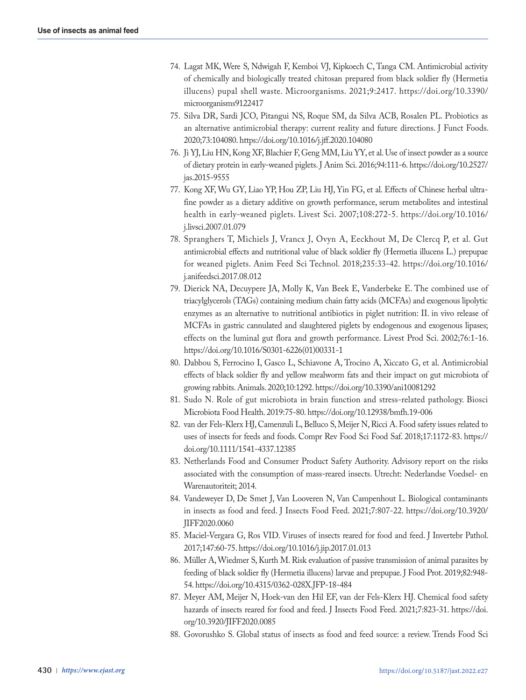- 74. Lagat MK, Were S, Ndwigah F, Kemboi VJ, Kipkoech C, Tanga CM. Antimicrobial activity of chemically and biologically treated chitosan prepared from black soldier fly (Hermetia illucens) pupal shell waste. Microorganisms. 2021;9:2417. https://doi.org/10.3390/ microorganisms9122417
- 75. Silva DR, Sardi JCO, Pitangui NS, Roque SM, da Silva ACB, Rosalen PL. Probiotics as an alternative antimicrobial therapy: current reality and future directions. J Funct Foods. 2020;73:104080. https://doi.org/10.1016/j.jff.2020.104080
- 76. Ji YJ, Liu HN, Kong XF, Blachier F, Geng MM, Liu YY, et al. Use of insect powder as a source of dietary protein in early-weaned piglets. J Anim Sci. 2016;94:111-6. https://doi.org/10.2527/ jas.2015-9555
- 77. Kong XF, Wu GY, Liao YP, Hou ZP, Liu HJ, Yin FG, et al. Effects of Chinese herbal ultrafine powder as a dietary additive on growth performance, serum metabolites and intestinal health in early-weaned piglets. Livest Sci. 2007;108:272-5. https://doi.org/10.1016/ j.livsci.2007.01.079
- 78. Spranghers T, Michiels J, Vrancx J, Ovyn A, Eeckhout M, De Clercq P, et al. Gut antimicrobial effects and nutritional value of black soldier fly (Hermetia illucens L.) prepupae for weaned piglets. Anim Feed Sci Technol. 2018;235:33-42. https://doi.org/10.1016/ j.anifeedsci.2017.08.012
- 79. Dierick NA, Decuypere JA, Molly K, Van Beek E, Vanderbeke E. The combined use of triacylglycerols (TAGs) containing medium chain fatty acids (MCFAs) and exogenous lipolytic enzymes as an alternative to nutritional antibiotics in piglet nutrition: II. in vivo release of MCFAs in gastric cannulated and slaughtered piglets by endogenous and exogenous lipases; effects on the luminal gut flora and growth performance. Livest Prod Sci. 2002;76:1-16. https://doi.org/10.1016/S0301-6226(01)00331-1
- 80. Dabbou S, Ferrocino I, Gasco L, Schiavone A, Trocino A, Xiccato G, et al. Antimicrobial effects of black soldier fly and yellow mealworm fats and their impact on gut microbiota of growing rabbits. Animals. 2020;10:1292. https://doi.org/10.3390/ani10081292
- 81. Sudo N. Role of gut microbiota in brain function and stress-related pathology. Biosci Microbiota Food Health. 2019:75-80. https://doi.org/10.12938/bmfh.19-006
- 82. van der Fels-Klerx HJ, Camenzuli L, Belluco S, Meijer N, Ricci A. Food safety issues related to uses of insects for feeds and foods. Compr Rev Food Sci Food Saf. 2018;17:1172-83. https:// doi.org/10.1111/1541-4337.12385
- 83. Netherlands Food and Consumer Product Safety Authority. Advisory report on the risks associated with the consumption of mass-reared insects. Utrecht: Nederlandse Voedsel- en Warenautoriteit; 2014.
- 84. Vandeweyer D, De Smet J, Van Looveren N, Van Campenhout L. Biological contaminants in insects as food and feed. J Insects Food Feed. 2021;7:807-22. https://doi.org/10.3920/ JIFF2020.0060
- 85. Maciel-Vergara G, Ros VID. Viruses of insects reared for food and feed. J Invertebr Pathol. 2017;147:60-75. https://doi.org/10.1016/j.jip.2017.01.013
- 86. Müller A, Wiedmer S, Kurth M. Risk evaluation of passive transmission of animal parasites by feeding of black soldier fly (Hermetia illucens) larvae and prepupae. J Food Prot. 2019;82:948- 54. https://doi.org/10.4315/0362-028X.JFP-18-484
- 87. Meyer AM, Meijer N, Hoek-van den Hil EF, van der Fels-Klerx HJ. Chemical food safety hazards of insects reared for food and feed. J Insects Food Feed. 2021;7:823-31. https://doi. org/10.3920/JIFF2020.0085
- 88. Govorushko S. Global status of insects as food and feed source: a review. Trends Food Sci